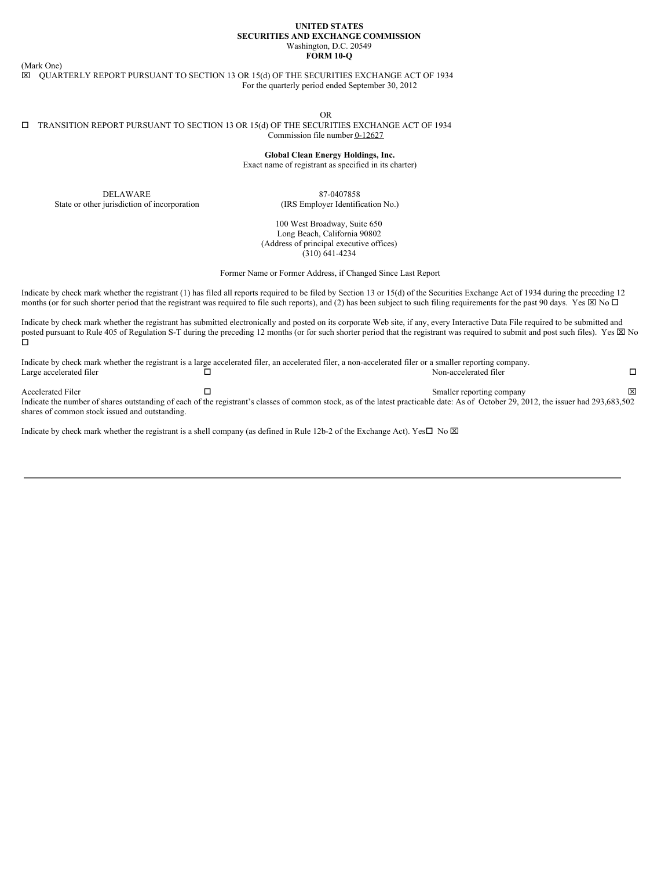#### **UNITED STATES SECURITIES AND EXCHANGE COMMISSION** Washington, D.C. 20549 **FORM 10-Q**

(Mark One)

 $\boxtimes$  QUARTERLY REPORT PURSUANT TO SECTION 13 OR 15(d) OF THE SECURITIES EXCHANGE ACT OF 1934 For the quarterly period ended September 30, 2012

OR

#### $\square$  TRANSITION REPORT PURSUANT TO SECTION 13 OR 15(d) OF THE SECURITIES EXCHANGE ACT OF 1934 Commission file number 0-12627

**Global Clean Energy Holdings, Inc.**

Exact name of registrant as specified in its charter)

DELAWARE State or other jurisdiction of incorporation

87-0407858 (IRS Employer Identification No.)

100 West Broadway, Suite 650 Long Beach, California 90802 (Address of principal executive offices) (310) 641-4234

Former Name or Former Address, if Changed Since Last Report

Indicate by check mark whether the registrant (1) has filed all reports required to be filed by Section 13 or 15(d) of the Securities Exchange Act of 1934 during the preceding 12 months (or for such shorter period that the registrant was required to file such reports), and (2) has been subject to such filing requirements for the past 90 days. Yes  $\boxtimes$  No  $\Box$ 

Indicate by check mark whether the registrant has submitted electronically and posted on its corporate Web site, if any, every Interactive Data File required to be submitted and posted pursuant to Rule 405 of Regulation S-T during the preceding 12 months (or for such shorter period that the registrant was required to submit and post such files). Yes  $\boxtimes$  No o

| ⊠ |
|---|
|   |

Indicate the number of shares outstanding of each of the registrant's classes of common stock, as of the latest practicable date: As of October 29, 2012, the issuer had 293,683,502 shares of common stock issued and outstanding.

Indicate by check mark whether the registrant is a shell company (as defined in Rule 12b-2 of the Exchange Act). Yes $\square$  No  $\boxtimes$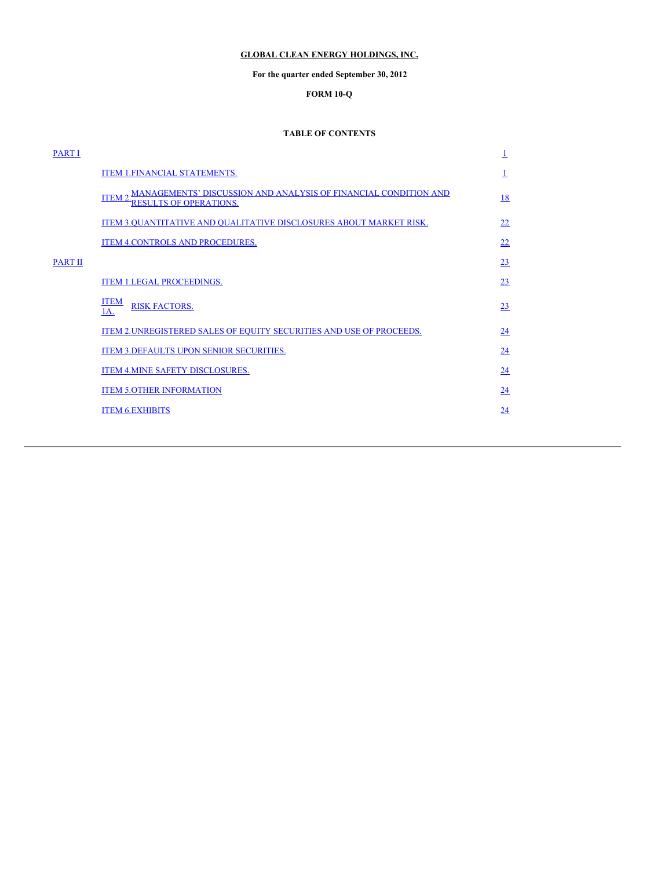# <span id="page-1-0"></span>**GLOBAL CLEAN ENERGY HOLDINGS, INC.**

# **For the quarter ended September 30, 2012**

# **FORM 10-Q**

# **TABLE OF CONTENTS**

| <b>PART I</b> |                                                                                                         | 1  |
|---------------|---------------------------------------------------------------------------------------------------------|----|
|               | <b>ITEM 1.FINANCIAL STATEMENTS.</b>                                                                     |    |
|               | ITEM 2 MANAGEMENTS' DISCUSSION AND ANALYSIS OF FINANCIAL CONDITION AND<br><b>RESULTS OF OPERATIONS.</b> | 18 |
|               | ITEM 3.QUANTITATIVE AND QUALITATIVE DISCLOSURES ABOUT MARKET RISK.                                      | 22 |
|               | ITEM 4.CONTROLS AND PROCEDURES.                                                                         | 22 |
| PART II       |                                                                                                         | 23 |
|               | <b>ITEM 1.LEGAL PROCEEDINGS.</b>                                                                        | 23 |
|               | <b>ITEM</b><br><b>RISK FACTORS.</b><br>1A.                                                              | 23 |
|               | ITEM 2. UNREGISTERED SALES OF EQUITY SECURITIES AND USE OF PROCEEDS.                                    | 24 |
|               | ITEM 3. DEFAULTS UPON SENIOR SECURITIES.                                                                | 24 |
|               | ITEM 4. MINE SAFETY DISCLOSURES.                                                                        | 24 |
|               | <b>ITEM 5.OTHER INFORMATION</b>                                                                         | 24 |
|               | <b>ITEM 6.EXHIBITS</b>                                                                                  | 24 |
|               |                                                                                                         |    |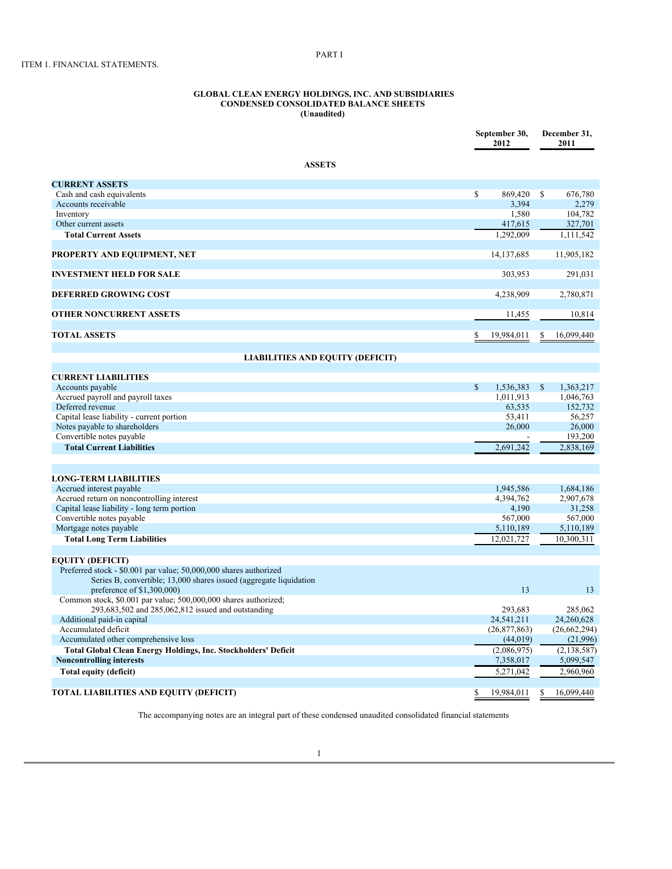#### **GLOBAL CLEAN ENERGY HOLDINGS, INC. AND SUBSIDIARIES CONDENSED CONSOLIDATED BALANCE SHEETS (Unaudited)**

<span id="page-2-0"></span>PART I

|                                                                                                  |              | September 30,<br>2012 |              | December 31,<br>2011 |
|--------------------------------------------------------------------------------------------------|--------------|-----------------------|--------------|----------------------|
| <b>ASSETS</b>                                                                                    |              |                       |              |                      |
| <b>CURRENT ASSETS</b>                                                                            |              |                       |              |                      |
| Cash and cash equivalents                                                                        | $\mathbb{S}$ | 869,420               | $\mathbf S$  | 676,780              |
| Accounts receivable                                                                              |              | 3,394                 |              | 2,279                |
| Inventory                                                                                        |              | 1,580                 |              | 104,782              |
| Other current assets                                                                             |              | 417,615               |              | 327,701              |
| <b>Total Current Assets</b>                                                                      |              | 1.292.009             |              | 1,111,542            |
| PROPERTY AND EQUIPMENT, NET                                                                      |              | 14, 137, 685          |              | 11,905,182           |
| <b>INVESTMENT HELD FOR SALE</b>                                                                  |              | 303,953               |              | 291,031              |
| <b>DEFERRED GROWING COST</b>                                                                     |              | 4,238,909             |              | 2,780,871            |
| <b>OTHER NONCURRENT ASSETS</b>                                                                   |              | 11,455                |              | 10,814               |
| <b>TOTAL ASSETS</b>                                                                              | \$           | 19,984,011            | \$           | 16,099,440           |
| <b>LIABILITIES AND EQUITY (DEFICIT)</b>                                                          |              |                       |              |                      |
|                                                                                                  |              |                       |              |                      |
| <b>CURRENT LIABILITIES</b>                                                                       |              |                       |              |                      |
| Accounts payable                                                                                 | \$           | 1,536,383             | $\mathbb{S}$ | 1,363,217            |
| Accrued payroll and payroll taxes                                                                |              | 1,011,913             |              | 1,046,763            |
| Deferred revenue                                                                                 |              | 63,535                |              | 152,732              |
| Capital lease liability - current portion                                                        |              | 53,411                |              | 56,257               |
| Notes payable to shareholders                                                                    |              | 26,000                |              | 26,000               |
| Convertible notes payable                                                                        |              |                       |              | 193,200              |
| <b>Total Current Liabilities</b>                                                                 |              | 2,691,242             |              | 2,838,169            |
| <b>LONG-TERM LIABILITIES</b>                                                                     |              |                       |              |                      |
| Accrued interest payable                                                                         |              | 1,945,586             |              | 1,684,186            |
| Accrued return on noncontrolling interest                                                        |              | 4,394,762             |              | 2,907,678            |
| Capital lease liability - long term portion                                                      |              | 4,190                 |              | 31,258               |
| Convertible notes payable                                                                        |              | 567,000               |              | 567,000              |
| Mortgage notes payable                                                                           |              | 5,110,189             |              | 5,110,189            |
| <b>Total Long Term Liabilities</b>                                                               |              | 12,021,727            |              | 10,300,311           |
| <b>EQUITY (DEFICIT)</b>                                                                          |              |                       |              |                      |
| Preferred stock - \$0.001 par value; 50,000,000 shares authorized                                |              |                       |              |                      |
| Series B, convertible; 13,000 shares issued (aggregate liquidation<br>preference of \$1,300,000) |              | 13                    |              | 13                   |
| Common stock, \$0.001 par value; 500,000,000 shares authorized;                                  |              |                       |              |                      |
| 293,683,502 and 285,062,812 issued and outstanding                                               |              | 293,683               |              | 285,062              |
| Additional paid-in capital                                                                       |              | 24,541,211            |              | 24,260,628           |
| Accumulated deficit                                                                              |              | (26,877,863)          |              | (26, 662, 294)       |
| Accumulated other comprehensive loss                                                             |              | (44, 019)             |              | (21,996)             |
| <b>Total Global Clean Energy Holdings, Inc. Stockholders' Deficit</b>                            |              | (2,086,975)           |              | (2, 138, 587)        |
| <b>Noncontrolling interests</b>                                                                  |              | 7,358,017             |              | 5,099,547            |
| Total equity (deficit)                                                                           |              | 5,271,042             |              | 2,960,960            |
| <b>TOTAL LIABILITIES AND EQUITY (DEFICIT)</b>                                                    | \$           | 19,984,011            | \$           | 16,099,440           |

The accompanying notes are an integral part of these condensed unaudited consolidated financial statements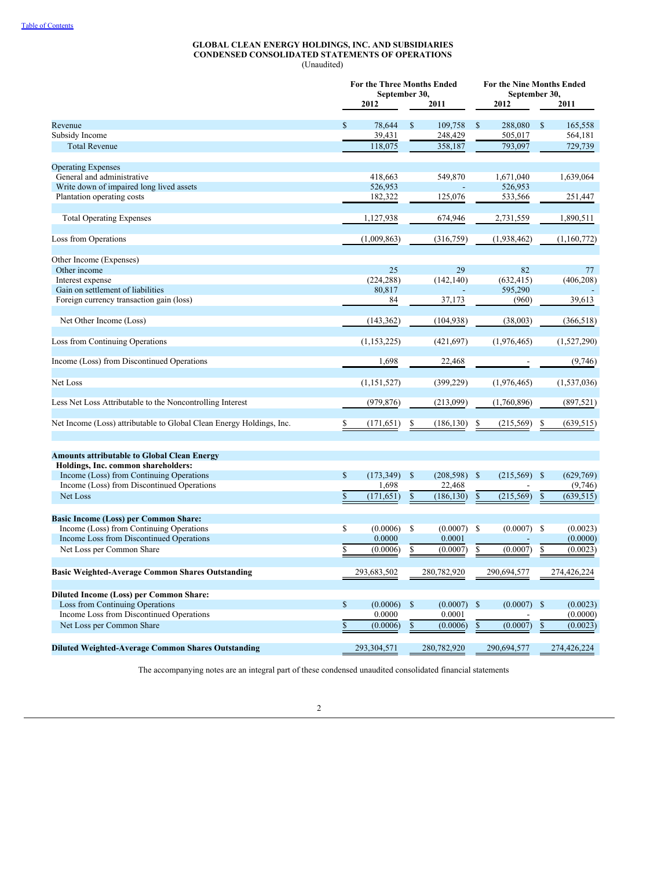#### **GLOBAL CLEAN ENERGY HOLDINGS, INC. AND SUBSIDIARIES CONDENSED CONSOLIDATED STATEMENTS OF OPERATIONS** (Unaudited)

|                                                                      | For the Three Months Ended<br>September 30,<br>2012<br>2011 |               |              |               |              | For the Nine Months Ended<br>September 30,<br>2012<br>2011 |               |             |  |  |
|----------------------------------------------------------------------|-------------------------------------------------------------|---------------|--------------|---------------|--------------|------------------------------------------------------------|---------------|-------------|--|--|
|                                                                      |                                                             |               |              |               |              |                                                            |               |             |  |  |
| Revenue                                                              | \$                                                          | 78,644        | \$           | 109,758       | $\mathbb{S}$ | 288,080                                                    | <sup>\$</sup> | 165,558     |  |  |
| Subsidy Income                                                       |                                                             | 39,431        |              | 248,429       |              | 505,017                                                    |               | 564,181     |  |  |
| <b>Total Revenue</b>                                                 |                                                             | 118,075       |              | 358,187       |              | 793,097                                                    |               | 729,739     |  |  |
| <b>Operating Expenses</b>                                            |                                                             |               |              |               |              |                                                            |               |             |  |  |
| General and administrative                                           |                                                             | 418,663       |              | 549,870       |              | 1,671,040                                                  |               | 1,639,064   |  |  |
| Write down of impaired long lived assets                             |                                                             | 526,953       |              |               |              | 526,953                                                    |               |             |  |  |
| Plantation operating costs                                           |                                                             | 182,322       |              | 125,076       |              | 533,566                                                    |               | 251,447     |  |  |
| <b>Total Operating Expenses</b>                                      |                                                             | 1,127,938     |              | 674,946       |              | 2,731,559                                                  |               | 1,890,511   |  |  |
|                                                                      |                                                             |               |              |               |              |                                                            |               |             |  |  |
| Loss from Operations                                                 |                                                             | (1,009,863)   |              | (316,759)     |              | (1,938,462)                                                |               | (1,160,772) |  |  |
| Other Income (Expenses)                                              |                                                             |               |              |               |              |                                                            |               |             |  |  |
| Other income                                                         |                                                             | 25            |              | 29            |              | 82                                                         |               | 77          |  |  |
| Interest expense                                                     |                                                             | (224, 288)    |              | (142, 140)    |              | (632, 415)                                                 |               | (406, 208)  |  |  |
| Gain on settlement of liabilities                                    |                                                             | 80,817        |              |               |              | 595,290                                                    |               |             |  |  |
| Foreign currency transaction gain (loss)                             |                                                             | 84            |              | 37,173        |              | (960)                                                      |               | 39,613      |  |  |
| Net Other Income (Loss)                                              |                                                             | (143, 362)    |              | (104, 938)    |              | (38,003)                                                   |               | (366, 518)  |  |  |
| Loss from Continuing Operations                                      |                                                             | (1, 153, 225) |              | (421, 697)    |              | (1,976,465)                                                |               | (1,527,290) |  |  |
| Income (Loss) from Discontinued Operations                           |                                                             | 1,698         |              | 22,468        |              |                                                            |               | (9,746)     |  |  |
| Net Loss                                                             |                                                             | (1, 151, 527) |              | (399, 229)    |              | (1,976,465)                                                |               | (1,537,036) |  |  |
| Less Net Loss Attributable to the Noncontrolling Interest            |                                                             | (979, 876)    |              | (213,099)     |              | (1,760,896)                                                |               | (897, 521)  |  |  |
| Net Income (Loss) attributable to Global Clean Energy Holdings, Inc. | \$                                                          | (171, 651)    | \$           | (186, 130)    | S            | (215,569)                                                  | \$            | (639, 515)  |  |  |
| <b>Amounts attributable to Global Clean Energy</b>                   |                                                             |               |              |               |              |                                                            |               |             |  |  |
| Holdings, Inc. common shareholders:                                  |                                                             |               |              |               |              |                                                            |               |             |  |  |
| Income (Loss) from Continuing Operations                             | $\mathbb{S}$                                                | (173, 349)    | $\mathbb{S}$ | (208, 598)    | $\mathbb{S}$ | (215,569)                                                  | - \$          | (629,769)   |  |  |
| Income (Loss) from Discontinued Operations                           |                                                             | 1,698         |              | 22,468        |              |                                                            |               | (9,746)     |  |  |
| Net Loss                                                             | \$                                                          | (171, 651)    | \$           | (186, 130)    | $\mathbb{S}$ | (215, 569)                                                 | \$            | (639, 515)  |  |  |
| <b>Basic Income (Loss) per Common Share:</b>                         |                                                             |               |              |               |              |                                                            |               |             |  |  |
| Income (Loss) from Continuing Operations                             | \$                                                          | (0.0006)      | \$           | (0.0007)      | -S           | (0.0007)                                                   | -\$           | (0.0023)    |  |  |
| Income Loss from Discontinued Operations                             |                                                             | 0.0000        |              | 0.0001        |              |                                                            |               | (0.0000)    |  |  |
| Net Loss per Common Share                                            | \$                                                          | (0.0006)      | \$           | (0.0007)      | \$           | (0.0007)                                                   | \$            | (0.0023)    |  |  |
|                                                                      |                                                             |               |              |               |              |                                                            |               |             |  |  |
| Basic Weighted-Average Common Shares Outstanding                     |                                                             | 293,683,502   |              | 280,782,920   |              | 290,694,577                                                |               | 274,426,224 |  |  |
| <b>Diluted Income (Loss) per Common Share:</b>                       |                                                             |               |              |               |              |                                                            |               |             |  |  |
| Loss from Continuing Operations                                      | $\mathbb{S}$                                                | (0.0006)      | $\mathbb{S}$ | $(0.0007)$ \$ |              | $(0.0007)$ \$                                              |               | (0.0023)    |  |  |
| Income Loss from Discontinued Operations                             |                                                             | 0.0000        |              | 0.0001        |              |                                                            |               | (0.0000)    |  |  |
| Net Loss per Common Share                                            | \$                                                          | (0.0006)      | \$           | (0.0006)      | $\mathbb{S}$ | (0.0007)                                                   | \$            | (0.0023)    |  |  |
| <b>Diluted Weighted-Average Common Shares Outstanding</b>            |                                                             | 293,304,571   |              | 280,782,920   |              | 290,694,577                                                |               | 274,426,224 |  |  |

The accompanying notes are an integral part of these condensed unaudited consolidated financial statements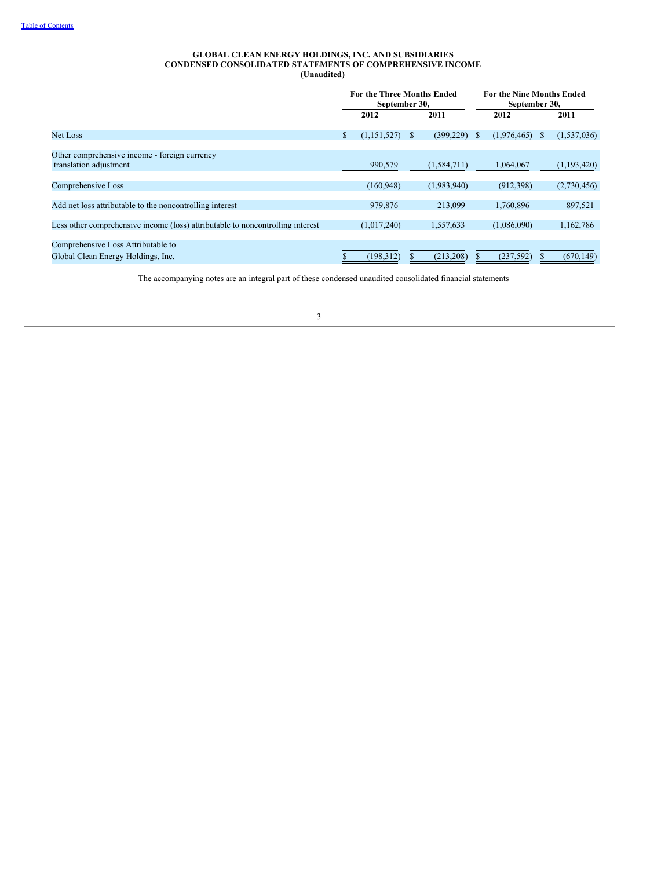### **GLOBAL CLEAN ENERGY HOLDINGS, INC. AND SUBSIDIARIES CONDENSED CONSOLIDATED STATEMENTS OF COMPREHENSIVE INCOME (Unaudited)**

|                                                                                | <b>For the Three Months Ended</b><br>September 30, |   |               |              | <b>For the Nine Months Ended</b><br>September 30, |              |             |
|--------------------------------------------------------------------------------|----------------------------------------------------|---|---------------|--------------|---------------------------------------------------|--------------|-------------|
|                                                                                | 2012                                               |   | 2011          |              | 2012                                              |              | 2011        |
| Net Loss                                                                       | \$<br>(1,151,527)                                  | S | (399, 229)    | <sup>S</sup> | (1,976,465)                                       | <sup>S</sup> | (1,537,036) |
| Other comprehensive income - foreign currency<br>translation adjustment        | 990,579                                            |   | (1, 584, 711) |              | 1,064,067                                         |              | (1,193,420) |
| Comprehensive Loss                                                             | (160, 948)                                         |   | (1,983,940)   |              | (912, 398)                                        |              | (2,730,456) |
| Add net loss attributable to the noncontrolling interest                       | 979,876                                            |   | 213.099       |              | 1.760.896                                         |              | 897,521     |
| Less other comprehensive income (loss) attributable to noncontrolling interest | (1,017,240)                                        |   | 1,557,633     |              | (1,086,090)                                       |              | 1,162,786   |
| Comprehensive Loss Attributable to<br>Global Clean Energy Holdings, Inc.       | (198, 312)                                         |   | (213, 208)    |              | (237, 592)                                        |              | (670, 149)  |

The accompanying notes are an integral part of these condensed unaudited consolidated financial statements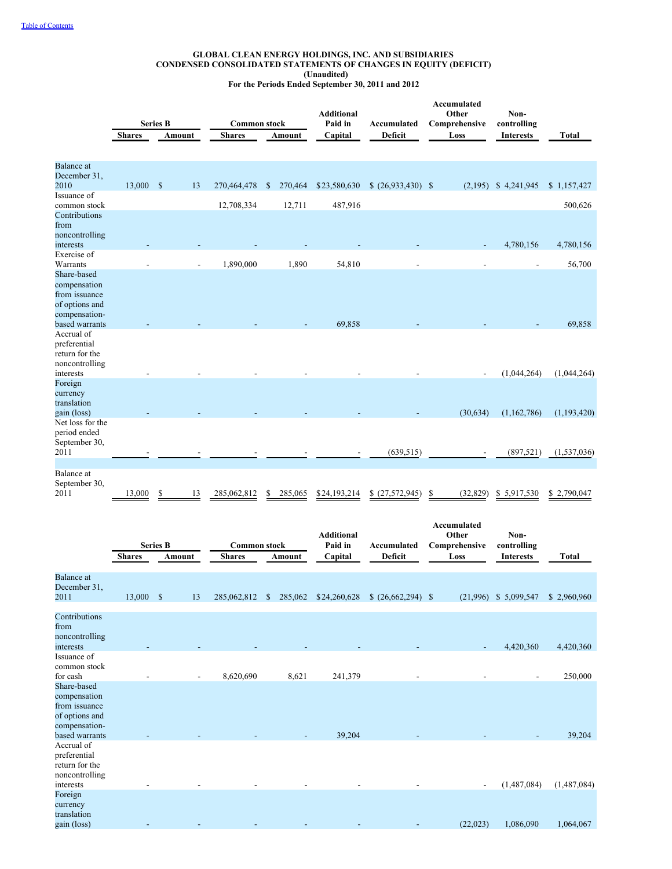#### **GLOBAL CLEAN ENERGY HOLDINGS, INC. AND SUBSIDIARIES CONDENSED CONSOLIDATED STATEMENTS OF CHANGES IN EQUITY (DEFICIT) (Unaudited) For the Periods Ended September 30, 2011 and 2012**

|                                 | <b>Shares</b> | <b>Series B</b> | Amount | <b>Common stock</b><br><b>Shares</b> |              | Amount  | <b>Additional</b><br>Paid in<br>Capital | Accumulated<br>Deficit | Accumulated<br>Other<br>Non-<br>Comprehensive<br>controlling<br>Loss<br><b>Interests</b> |                        | <b>Total</b>  |
|---------------------------------|---------------|-----------------|--------|--------------------------------------|--------------|---------|-----------------------------------------|------------------------|------------------------------------------------------------------------------------------|------------------------|---------------|
|                                 |               |                 |        |                                      |              |         |                                         |                        |                                                                                          |                        |               |
| <b>Balance</b> at               |               |                 |        |                                      |              |         |                                         |                        |                                                                                          |                        |               |
| December 31,                    |               |                 |        |                                      |              |         |                                         |                        |                                                                                          |                        |               |
| 2010<br>Issuance of             | 13,000 \$     |                 | 13     | 270,464,478                          | $\mathbb{S}$ | 270,464 | \$23,580,630                            | $(26,933,430)$ \$      |                                                                                          | $(2,195)$ \$ 4,241,945 | \$1,157,427   |
| common stock                    |               |                 |        | 12,708,334                           |              | 12,711  | 487,916                                 |                        |                                                                                          |                        | 500,626       |
| Contributions                   |               |                 |        |                                      |              |         |                                         |                        |                                                                                          |                        |               |
| from                            |               |                 |        |                                      |              |         |                                         |                        |                                                                                          |                        |               |
| noncontrolling                  |               |                 |        |                                      |              |         |                                         |                        |                                                                                          |                        |               |
| interests                       |               |                 |        |                                      |              |         |                                         |                        | $\overline{\phantom{a}}$                                                                 | 4,780,156              | 4,780,156     |
| Exercise of                     |               |                 |        |                                      |              |         |                                         |                        |                                                                                          |                        |               |
| Warrants                        |               |                 |        | 1,890,000                            |              | 1,890   | 54,810                                  |                        |                                                                                          |                        | 56,700        |
| Share-based                     |               |                 |        |                                      |              |         |                                         |                        |                                                                                          |                        |               |
| compensation                    |               |                 |        |                                      |              |         |                                         |                        |                                                                                          |                        |               |
| from issuance<br>of options and |               |                 |        |                                      |              |         |                                         |                        |                                                                                          |                        |               |
| compensation-                   |               |                 |        |                                      |              |         |                                         |                        |                                                                                          |                        |               |
| based warrants                  |               |                 |        |                                      |              |         | 69,858                                  |                        |                                                                                          |                        | 69,858        |
| Accrual of                      |               |                 |        |                                      |              |         |                                         |                        |                                                                                          |                        |               |
| preferential                    |               |                 |        |                                      |              |         |                                         |                        |                                                                                          |                        |               |
| return for the                  |               |                 |        |                                      |              |         |                                         |                        |                                                                                          |                        |               |
| noncontrolling                  |               |                 |        |                                      |              |         |                                         |                        |                                                                                          |                        |               |
| interests                       |               |                 |        |                                      |              |         |                                         |                        | $\overline{\phantom{a}}$                                                                 | (1,044,264)            | (1,044,264)   |
| Foreign                         |               |                 |        |                                      |              |         |                                         |                        |                                                                                          |                        |               |
| currency                        |               |                 |        |                                      |              |         |                                         |                        |                                                                                          |                        |               |
| translation                     |               |                 |        |                                      |              |         |                                         |                        | (30, 634)                                                                                | (1,162,786)            |               |
| gain (loss)<br>Net loss for the |               |                 |        |                                      |              |         |                                         |                        |                                                                                          |                        | (1, 193, 420) |
| period ended                    |               |                 |        |                                      |              |         |                                         |                        |                                                                                          |                        |               |
| September 30,                   |               |                 |        |                                      |              |         |                                         |                        |                                                                                          |                        |               |
| 2011                            |               |                 |        |                                      |              |         |                                         | (639, 515)             |                                                                                          | (897, 521)             | (1,537,036)   |
|                                 |               |                 |        |                                      |              |         |                                         |                        |                                                                                          |                        |               |
| Balance at                      |               |                 |        |                                      |              |         |                                         |                        |                                                                                          |                        |               |
| September 30,                   |               |                 |        |                                      |              |         |                                         |                        |                                                                                          |                        |               |
| 2011                            | 13,000        | S               | 13     | 285,062,812                          | S            | 285,065 | \$24,193,214                            |                        | (32, 829)                                                                                | \$5,917,530            | \$2.790,047   |

|                                                                                                   |               | <b>Series B</b> |        | <b>Common stock</b> |                         | <b>Additional</b><br>Paid in | Accumulated       | Accumulated<br>Other<br>Comprehensive | Non-<br>controlling |              |
|---------------------------------------------------------------------------------------------------|---------------|-----------------|--------|---------------------|-------------------------|------------------------------|-------------------|---------------------------------------|---------------------|--------------|
|                                                                                                   | <b>Shares</b> |                 | Amount | <b>Shares</b>       | Amount                  | Capital                      | Deficit           | Loss                                  | <b>Interests</b>    | <b>Total</b> |
| <b>Balance</b> at<br>December 31,<br>2011                                                         | 13,000        | $\mathbf{s}$    | 13     | 285,062,812         | 285,062<br><sup>S</sup> | \$24,260,628                 | $(26,662,294)$ \$ | (21,996)                              | \$ 5,099,547        | \$2,960,960  |
| Contributions<br>from<br>noncontrolling<br>interests                                              |               |                 |        |                     |                         |                              |                   |                                       | 4,420,360           | 4,420,360    |
| Issuance of<br>common stock<br>for cash                                                           |               |                 |        | 8,620,690           | 8,621                   | 241,379                      |                   |                                       |                     | 250,000      |
| Share-based<br>compensation<br>from issuance<br>of options and<br>compensation-<br>based warrants |               |                 |        |                     |                         | 39,204                       |                   |                                       |                     | 39,204       |
| Accrual of<br>preferential<br>return for the<br>noncontrolling<br>interests                       |               |                 |        |                     |                         |                              |                   | $\overline{\phantom{a}}$              | (1,487,084)         | (1,487,084)  |
| Foreign<br>currency<br>translation<br>gain (loss)                                                 |               |                 |        |                     |                         |                              |                   | (22, 023)                             | 1,086,090           | 1,064,067    |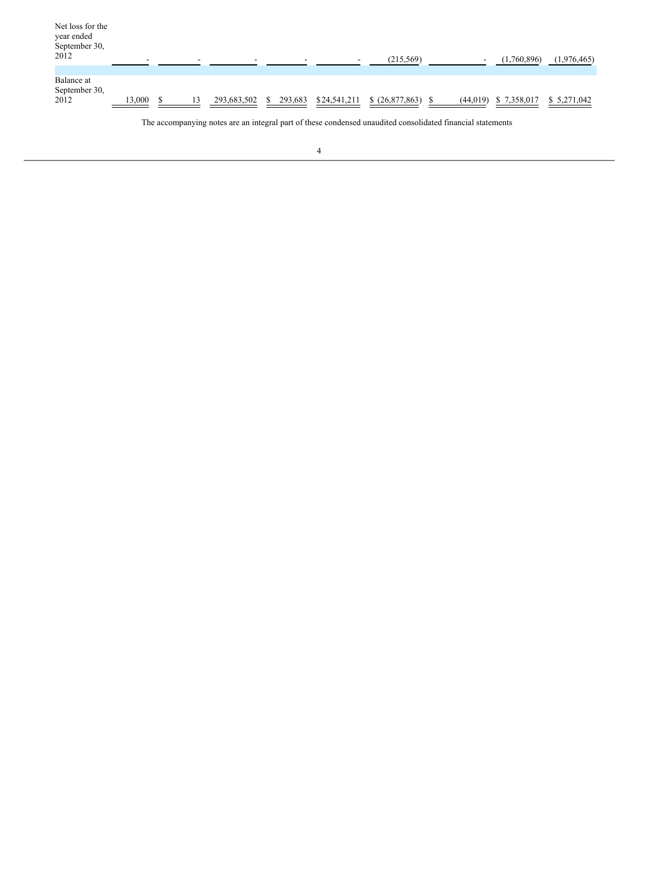| Net loss for the<br>year ended<br>September 30,<br>2012 | -      | -  |             | -       |              | (215, 569)   | -         | (1,760,896) | (1,976,465) |
|---------------------------------------------------------|--------|----|-------------|---------|--------------|--------------|-----------|-------------|-------------|
|                                                         |        |    |             |         |              |              |           |             |             |
| Balance at<br>September 30,<br>2012                     | 13,000 | 13 | 293,683,502 | 293,683 | \$24,541,211 | (26,877,863) | (44, 019) | \$7,358,017 | \$5,271,042 |

The accompanying notes are an integral part of these condensed unaudited consolidated financial statements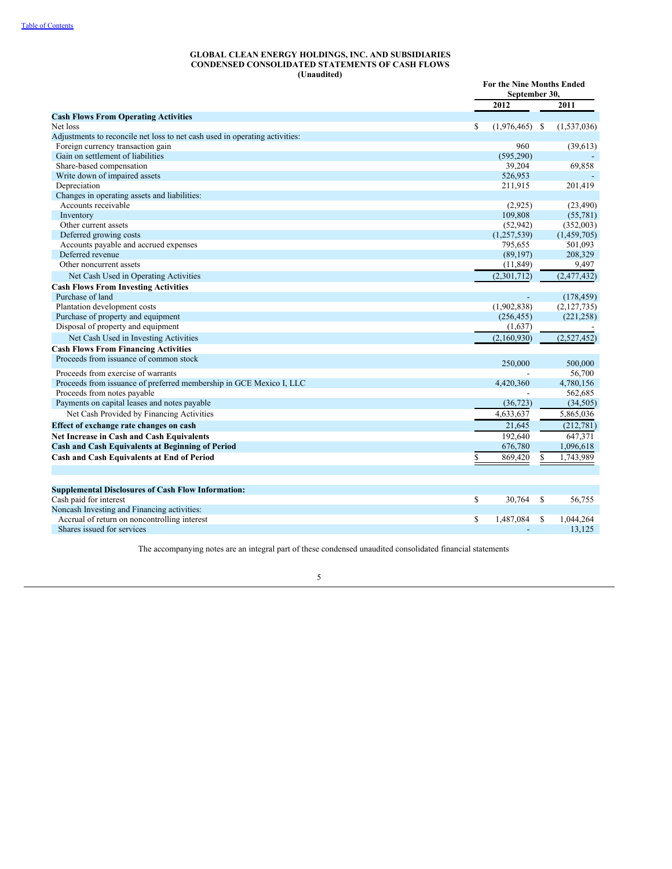#### **GLOBAL CLEAN ENERGY HOLDINGS, INC. AND SUBSIDIARIES CONDENSED CONSOLIDATED STATEMENTS OF CASH FLOWS (Unaudited)**

| (Chauditur                                                                  |                        | <b>For the Nine Months Ended</b><br>September 30, |
|-----------------------------------------------------------------------------|------------------------|---------------------------------------------------|
|                                                                             | 2012                   | 2011                                              |
| <b>Cash Flows From Operating Activities</b>                                 |                        |                                                   |
| Net loss                                                                    | \$<br>$(1,976,465)$ \$ | (1,537,036)                                       |
| Adjustments to reconcile net loss to net cash used in operating activities: |                        |                                                   |
| Foreign currency transaction gain                                           | 960                    | (39, 613)                                         |
| Gain on settlement of liabilities                                           | (595, 290)             |                                                   |
| Share-based compensation                                                    | 39,204                 | 69,858                                            |
| Write down of impaired assets                                               | 526,953                |                                                   |
| Depreciation                                                                | 211,915                | 201,419                                           |
| Changes in operating assets and liabilities:                                |                        |                                                   |
| Accounts receivable                                                         | (2,925)                | (23, 490)                                         |
| Inventory                                                                   | 109,808                | (55, 781)                                         |
| Other current assets                                                        | (52, 942)              | (352,003)                                         |
| Deferred growing costs                                                      | (1,257,539)            | (1,459,705)                                       |
| Accounts payable and accrued expenses                                       | 795,655                | 501,093                                           |
| Deferred revenue                                                            | (89, 197)              | 208,329                                           |
| Other noncurrent assets                                                     | (11, 849)              | 9,497                                             |
| Net Cash Used in Operating Activities                                       | (2,301,712)            | (2,477,432)                                       |
| <b>Cash Flows From Investing Activities</b>                                 |                        |                                                   |
| Purchase of land                                                            |                        | (178, 459)                                        |
| Plantation development costs                                                | (1,902,838)            | (2,127,735)                                       |
| Purchase of property and equipment                                          | (256, 455)             | (221, 258)                                        |
| Disposal of property and equipment                                          | (1,637)                |                                                   |
| Net Cash Used in Investing Activities                                       | (2,160,930)            | (2,527,452)                                       |
| <b>Cash Flows From Financing Activities</b>                                 |                        |                                                   |
| Proceeds from issuance of common stock                                      | 250,000                | 500,000                                           |
| Proceeds from exercise of warrants                                          |                        | 56,700                                            |
| Proceeds from issuance of preferred membership in GCE Mexico I, LLC         | 4,420,360              | 4,780,156                                         |
| Proceeds from notes payable                                                 |                        | 562,685                                           |
| Payments on capital leases and notes payable                                | (36, 723)              | (34,505)                                          |
| Net Cash Provided by Financing Activities                                   | 4,633,637              | 5,865,036                                         |
| Effect of exchange rate changes on cash                                     | 21,645                 | (212, 781)                                        |
| Net Increase in Cash and Cash Equivalents                                   | 192,640                | 647,371                                           |
| <b>Cash and Cash Equivalents at Beginning of Period</b>                     | 676,780                | 1,096,618                                         |
| Cash and Cash Equivalents at End of Period                                  | 869,420<br>\$          | 1,743,989                                         |
|                                                                             |                        |                                                   |
|                                                                             |                        |                                                   |
| <b>Supplemental Disclosures of Cash Flow Information:</b>                   |                        |                                                   |
| Cash paid for interest                                                      | \$<br>30,764           | 56,755<br><sup>\$</sup>                           |
| Noncash Investing and Financing activities:                                 |                        |                                                   |
| Accrual of return on noncontrolling interest                                | \$<br>1,487,084        | -S<br>1,044,264                                   |
| Shares issued for services                                                  |                        | 13,125                                            |

The accompanying notes are an integral part of these condensed unaudited consolidated financial statements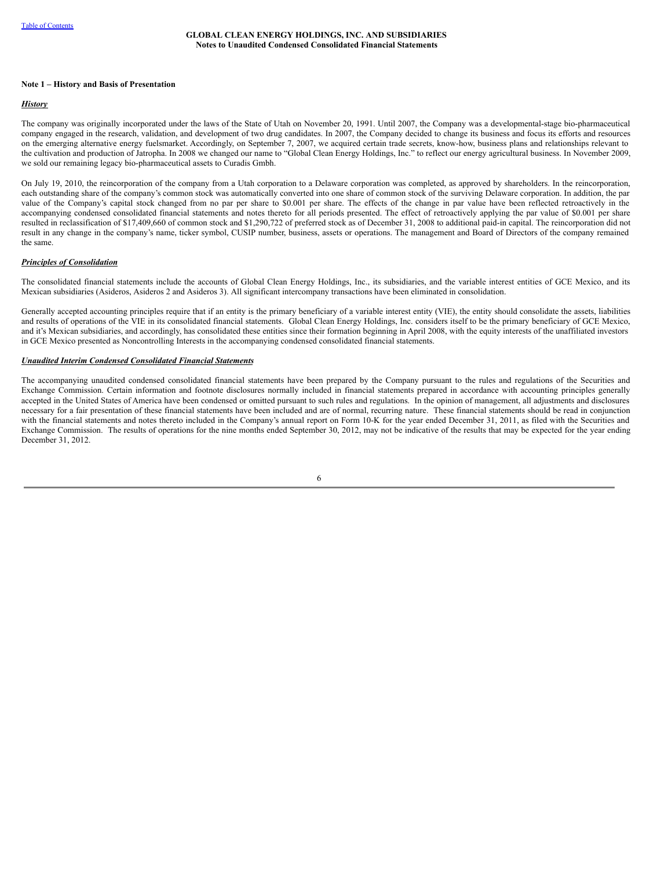## **GLOBAL CLEAN ENERGY HOLDINGS, INC. AND SUBSIDIARIES Notes to Unaudited Condensed Consolidated Financial Statements**

#### **Note 1 – History and Basis of Presentation**

## *History*

The company was originally incorporated under the laws of the State of Utah on November 20, 1991. Until 2007, the Company was a developmental-stage bio-pharmaceutical company engaged in the research, validation, and development of two drug candidates. In 2007, the Company decided to change its business and focus its efforts and resources on the emerging alternative energy fuelsmarket. Accordingly, on September 7, 2007, we acquired certain trade secrets, know-how, business plans and relationships relevant to the cultivation and production of Jatropha. In 2008 we changed our name to "Global Clean Energy Holdings, Inc." to reflect our energy agricultural business. In November 2009, we sold our remaining legacy bio-pharmaceutical assets to Curadis Gmbh.

On July 19, 2010, the reincorporation of the company from a Utah corporation to a Delaware corporation was completed, as approved by shareholders. In the reincorporation, each outstanding share of the company's common stock was automatically converted into one share of common stock of the surviving Delaware corporation. In addition, the par value of the Company's capital stock changed from no par per share to \$0.001 per share. The effects of the change in par value have been reflected retroactively in the accompanying condensed consolidated financial statements and notes thereto for all periods presented. The effect of retroactively applying the par value of \$0.001 per share resulted in reclassification of \$17,409,660 of common stock and \$1,290,722 of preferred stock as of December 31, 2008 to additional paid-in capital. The reincorporation did not result in any change in the company's name, ticker symbol, CUSIP number, business, assets or operations. The management and Board of Directors of the company remained the same.

#### *Principles of Consolidation*

The consolidated financial statements include the accounts of Global Clean Energy Holdings, Inc., its subsidiaries, and the variable interest entities of GCE Mexico, and its Mexican subsidiaries (Asideros, Asideros 2 and Asideros 3). All significant intercompany transactions have been eliminated in consolidation.

Generally accepted accounting principles require that if an entity is the primary beneficiary of a variable interest entity (VIE), the entity should consolidate the assets, liabilities and results of operations of the VIE in its consolidated financial statements. Global Clean Energy Holdings, Inc. considers itself to be the primary beneficiary of GCE Mexico, and it's Mexican subsidiaries, and accordingly, has consolidated these entities since their formation beginning in April 2008, with the equity interests of the unaffiliated investors in GCE Mexico presented as Noncontrolling Interests in the accompanying condensed consolidated financial statements.

#### *Unaudited Interim Condensed Consolidated Financial Statements*

The accompanying unaudited condensed consolidated financial statements have been prepared by the Company pursuant to the rules and regulations of the Securities and Exchange Commission. Certain information and footnote disclosures normally included in financial statements prepared in accordance with accounting principles generally accepted in the United States of America have been condensed or omitted pursuant to such rules and regulations. In the opinion of management, all adjustments and disclosures necessary for a fair presentation of these financial statements have been included and are of normal, recurring nature. These financial statements should be read in conjunction with the financial statements and notes thereto included in the Company's annual report on Form 10-K for the year ended December 31, 2011, as filed with the Securities and Exchange Commission. The results of operations for the nine months ended September 30, 2012, may not be indicative of the results that may be expected for the year ending December 31, 2012.

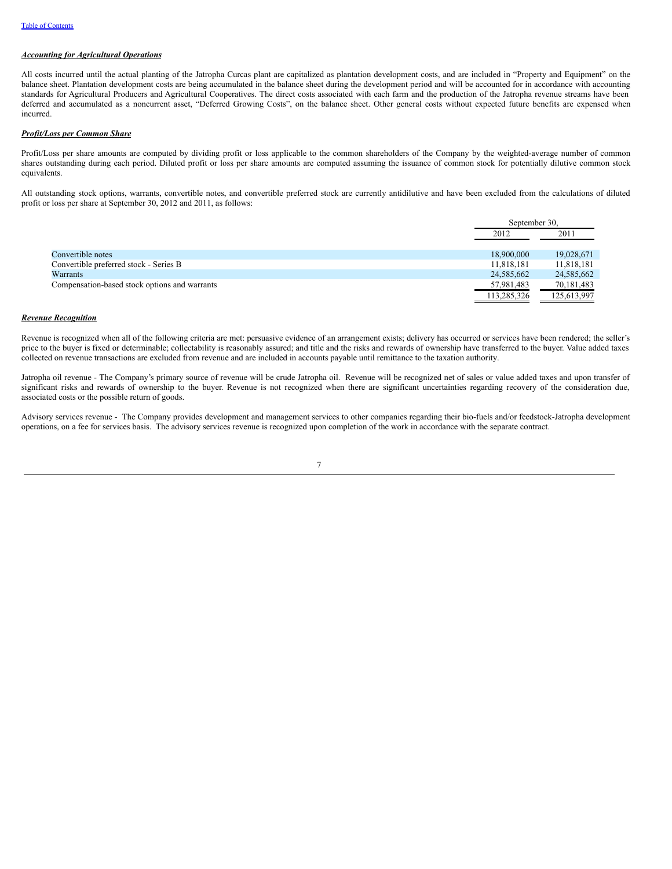# *Accounting for Agricultural Operations*

All costs incurred until the actual planting of the Jatropha Curcas plant are capitalized as plantation development costs, and are included in "Property and Equipment" on the balance sheet. Plantation development costs are being accumulated in the balance sheet during the development period and will be accounted for in accordance with accounting standards for Agricultural Producers and Agricultural Cooperatives. The direct costs associated with each farm and the production of the Jatropha revenue streams have been deferred and accumulated as a noncurrent asset, "Deferred Growing Costs", on the balance sheet. Other general costs without expected future benefits are expensed when incurred.

# *Profit/Loss per Common Share*

Profit/Loss per share amounts are computed by dividing profit or loss applicable to the common shareholders of the Company by the weighted-average number of common shares outstanding during each period. Diluted profit or loss per share amounts are computed assuming the issuance of common stock for potentially dilutive common stock equivalents.

All outstanding stock options, warrants, convertible notes, and convertible preferred stock are currently antidilutive and have been excluded from the calculations of diluted profit or loss per share at September 30, 2012 and 2011, as follows:

|                                               | September 30, |             |
|-----------------------------------------------|---------------|-------------|
|                                               | 2012          | 2011        |
|                                               |               |             |
| Convertible notes                             | 18,900,000    | 19,028,671  |
| Convertible preferred stock - Series B        | 11,818,181    | 11,818,181  |
| Warrants                                      | 24,585,662    | 24,585,662  |
| Compensation-based stock options and warrants | 57,981,483    | 70,181,483  |
|                                               | 113,285,326   | 125,613,997 |

## *Revenue Recognition*

Revenue is recognized when all of the following criteria are met: persuasive evidence of an arrangement exists; delivery has occurred or services have been rendered; the seller's price to the buyer is fixed or determinable; collectability is reasonably assured; and title and the risks and rewards of ownership have transferred to the buyer. Value added taxes collected on revenue transactions are excluded from revenue and are included in accounts payable until remittance to the taxation authority.

Jatropha oil revenue - The Company's primary source of revenue will be crude Jatropha oil. Revenue will be recognized net of sales or value added taxes and upon transfer of significant risks and rewards of ownership to the buyer. Revenue is not recognized when there are significant uncertainties regarding recovery of the consideration due, associated costs or the possible return of goods.

Advisory services revenue - The Company provides development and management services to other companies regarding their bio-fuels and/or feedstock-Jatropha development operations, on a fee for services basis. The advisory services revenue is recognized upon completion of the work in accordance with the separate contract.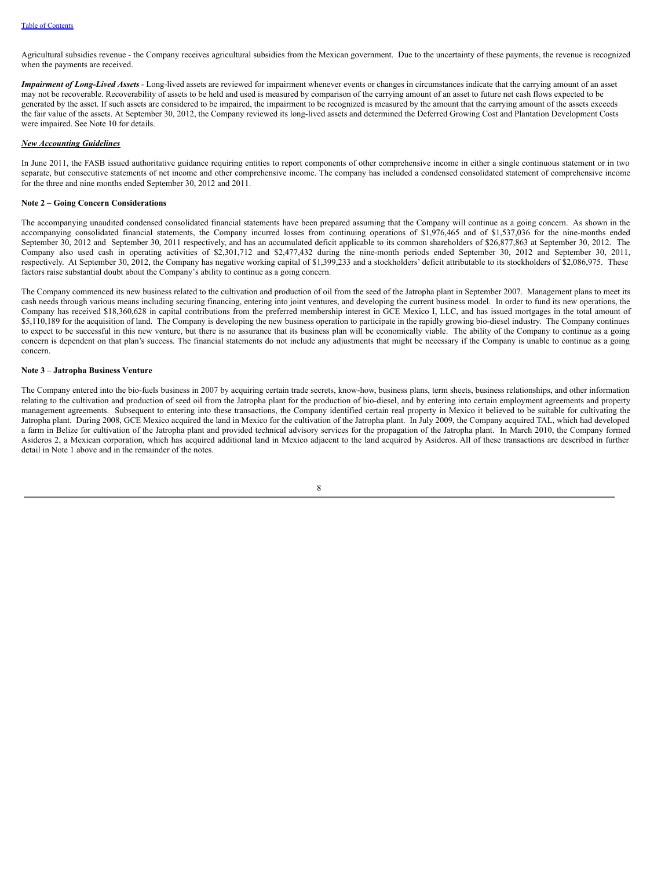Agricultural subsidies revenue - the Company receives agricultural subsidies from the Mexican government. Due to the uncertainty of these payments, the revenue is recognized when the payments are received.

*Impairment of Long-Lived Assets* - Long-lived assets are reviewed for impairment whenever events or changes in circumstances indicate that the carrying amount of an asset may not be recoverable. Recoverability of assets to be held and used is measured by comparison of the carrying amount of an asset to future net cash flows expected to be generated by the asset. If such assets are considered to be impaired, the impairment to be recognized is measured by the amount that the carrying amount of the assets exceeds the fair value of the assets. At September 30, 2012, the Company reviewed its long-lived assets and determined the Deferred Growing Cost and Plantation Development Costs were impaired. See Note 10 for details.

#### *New Accounting Guidelines*

In June 2011, the FASB issued authoritative guidance requiring entities to report components of other comprehensive income in either a single continuous statement or in two separate, but consecutive statements of net income and other comprehensive income. The company has included a condensed consolidated statement of comprehensive income for the three and nine months ended September 30, 2012 and 2011.

#### **Note 2 – Going Concern Considerations**

The accompanying unaudited condensed consolidated financial statements have been prepared assuming that the Company will continue as a going concern. As shown in the accompanying consolidated financial statements, the Company incurred losses from continuing operations of \$1,976,465 and of \$1,537,036 for the nine-months ended September 30, 2012 and September 30, 2011 respectively, and has an accumulated deficit applicable to its common shareholders of \$26,877,863 at September 30, 2012. The Company also used cash in operating activities of \$2,301,712 and \$2,477,432 during the nine-month periods ended September 30, 2012 and September 30, 2011, respectively. At September 30, 2012, the Company has negative working capital of \$1,399,233 and a stockholders' deficit attributable to its stockholders of \$2,086,975. These factors raise substantial doubt about the Company's ability to continue as a going concern.

The Company commenced its new business related to the cultivation and production of oil from the seed of the Jatropha plant in September 2007. Management plans to meet its cash needs through various means including securing financing, entering into joint ventures, and developing the current business model. In order to fund its new operations, the Company has received \$18,360,628 in capital contributions from the preferred membership interest in GCE Mexico I, LLC, and has issued mortgages in the total amount of \$5,110,189 for the acquisition of land. The Company is developing the new business operation to participate in the rapidly growing bio-diesel industry. The Company continues to expect to be successful in this new venture, but there is no assurance that its business plan will be economically viable. The ability of the Company to continue as a going concern is dependent on that plan's success. The financial statements do not include any adjustments that might be necessary if the Company is unable to continue as a going concern.

#### **Note 3 – Jatropha Business Venture**

The Company entered into the bio-fuels business in 2007 by acquiring certain trade secrets, know-how, business plans, term sheets, business relationships, and other information relating to the cultivation and production of seed oil from the Jatropha plant for the production of bio-diesel, and by entering into certain employment agreements and property management agreements. Subsequent to entering into these transactions, the Company identified certain real property in Mexico it believed to be suitable for cultivating the Jatropha plant. During 2008, GCE Mexico acquired the land in Mexico for the cultivation of the Jatropha plant. In July 2009, the Company acquired TAL, which had developed a farm in Belize for cultivation of the Jatropha plant and provided technical advisory services for the propagation of the Jatropha plant. In March 2010, the Company formed Asideros 2, a Mexican corporation, which has acquired additional land in Mexico adjacent to the land acquired by Asideros. All of these transactions are described in further detail in Note 1 above and in the remainder of the notes.

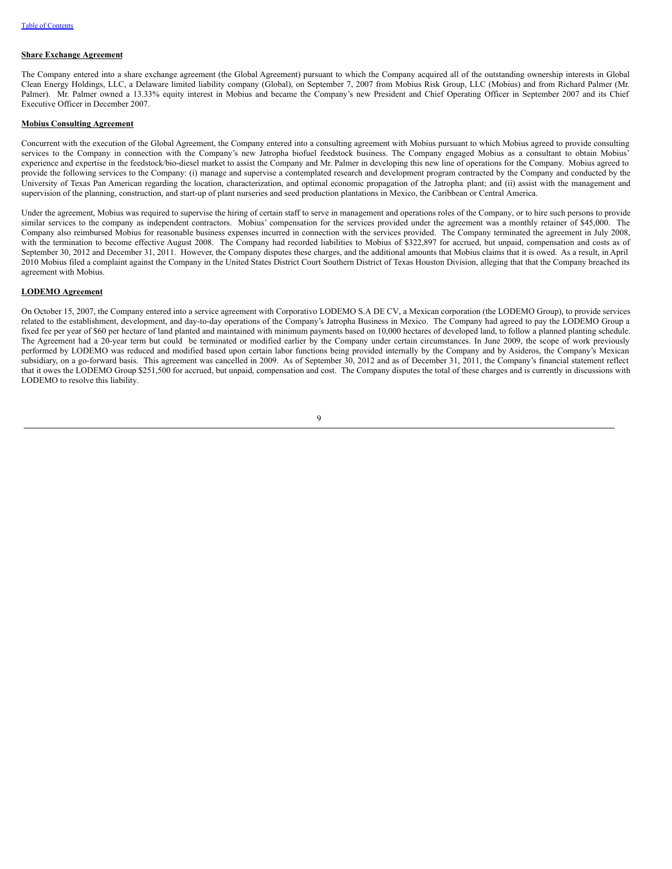#### **Share Exchange Agreement**

The Company entered into a share exchange agreement (the Global Agreement) pursuant to which the Company acquired all of the outstanding ownership interests in Global Clean Energy Holdings, LLC, a Delaware limited liability company (Global), on September 7, 2007 from Mobius Risk Group, LLC (Mobius) and from Richard Palmer (Mr. Palmer). Mr. Palmer owned a 13.33% equity interest in Mobius and became the Company's new President and Chief Operating Officer in September 2007 and its Chief Executive Officer in December 2007.

#### **Mobius Consulting Agreement**

Concurrent with the execution of the Global Agreement, the Company entered into a consulting agreement with Mobius pursuant to which Mobius agreed to provide consulting services to the Company in connection with the Company's new Jatropha biofuel feedstock business. The Company engaged Mobius as a consultant to obtain Mobius' experience and expertise in the feedstock/bio-diesel market to assist the Company and Mr. Palmer in developing this new line of operations for the Company. Mobius agreed to provide the following services to the Company: (i) manage and supervise a contemplated research and development program contracted by the Company and conducted by the University of Texas Pan American regarding the location, characterization, and optimal economic propagation of the Jatropha plant; and (ii) assist with the management and supervision of the planning, construction, and start-up of plant nurseries and seed production plantations in Mexico, the Caribbean or Central America.

Under the agreement, Mobius was required to supervise the hiring of certain staff to serve in management and operations roles of the Company, or to hire such persons to provide similar services to the company as independent contractors. Mobius' compensation for the services provided under the agreement was a monthly retainer of \$45,000. The Company also reimbursed Mobius for reasonable business expenses incurred in connection with the services provided. The Company terminated the agreement in July 2008, with the termination to become effective August 2008. The Company had recorded liabilities to Mobius of \$322,897 for accrued, but unpaid, compensation and costs as of September 30, 2012 and December 31, 2011. However, the Company disputes these charges, and the additional amounts that Mobius claims that it is owed. As a result, in April 2010 Mobius filed a complaint against the Company in the United States District Court Southern District of Texas Houston Division, alleging that that the Company breached its agreement with Mobius.

#### **LODEMO Agreement**

On October 15, 2007, the Company entered into a service agreement with Corporativo LODEMO S.A DE CV, a Mexican corporation (the LODEMO Group), to provide services related to the establishment, development, and day-to-day operations of the Company's Jatropha Business in Mexico. The Company had agreed to pay the LODEMO Group a fixed fee per year of \$60 per hectare of land planted and maintained with minimum payments based on 10,000 hectares of developed land, to follow a planned planting schedule. The Agreement had a 20-year term but could be terminated or modified earlier by the Company under certain circumstances. In June 2009, the scope of work previously performed by LODEMO was reduced and modified based upon certain labor functions being provided internally by the Company and by Asideros, the Company's Mexican subsidiary, on a go-forward basis. This agreement was cancelled in 2009. As of September 30, 2012 and as of December 31, 2011, the Company's financial statement reflect that it owes the LODEMO Group \$251,500 for accrued, but unpaid, compensation and cost. The Company disputes the total of these charges and is currently in discussions with LODEMO to resolve this liability.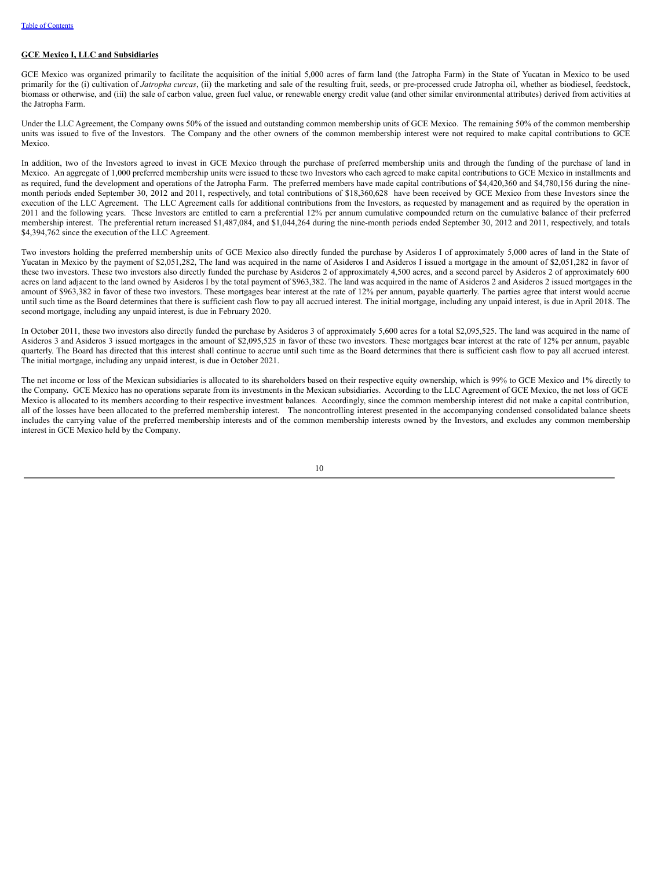## **GCE Mexico I, LLC and Subsidiaries**

GCE Mexico was organized primarily to facilitate the acquisition of the initial 5,000 acres of farm land (the Jatropha Farm) in the State of Yucatan in Mexico to be used primarily for the (i) cultivation of *Jatropha curcas*, (ii) the marketing and sale of the resulting fruit, seeds, or pre-processed crude Jatropha oil, whether as biodiesel, feedstock, biomass or otherwise, and (iii) the sale of carbon value, green fuel value, or renewable energy credit value (and other similar environmental attributes) derived from activities at the Jatropha Farm.

Under the LLC Agreement, the Company owns 50% of the issued and outstanding common membership units of GCE Mexico. The remaining 50% of the common membership units was issued to five of the Investors. The Company and the other owners of the common membership interest were not required to make capital contributions to GCE Mexico.

In addition, two of the Investors agreed to invest in GCE Mexico through the purchase of preferred membership units and through the funding of the purchase of land in Mexico. An aggregate of 1,000 preferred membership units were issued to these two Investors who each agreed to make capital contributions to GCE Mexico in installments and as required, fund the development and operations of the Jatropha Farm. The preferred members have made capital contributions of \$4,420,360 and \$4,780,156 during the ninemonth periods ended September 30, 2012 and 2011, respectively, and total contributions of \$18,360,628 have been received by GCE Mexico from these Investors since the execution of the LLC Agreement. The LLC Agreement calls for additional contributions from the Investors, as requested by management and as required by the operation in 2011 and the following years. These Investors are entitled to earn a preferential 12% per annum cumulative compounded return on the cumulative balance of their preferred membership interest. The preferential return increased \$1,487,084, and \$1,044,264 during the nine-month periods ended September 30, 2012 and 2011, respectively, and totals \$4,394,762 since the execution of the LLC Agreement.

Two investors holding the preferred membership units of GCE Mexico also directly funded the purchase by Asideros I of approximately 5,000 acres of land in the State of Yucatan in Mexico by the payment of \$2,051,282, The land was acquired in the name of Asideros I and Asideros I issued a mortgage in the amount of \$2,051,282 in favor of these two investors. These two investors also directly funded the purchase by Asideros 2 of approximately 4,500 acres, and a second parcel by Asideros 2 of approximately 600 acres on land adjacent to the land owned by Asideros I by the total payment of \$963,382. The land was acquired in the name of Asideros 2 and Asideros 2 issued mortgages in the amount of \$963,382 in favor of these two investors. These mortgages bear interest at the rate of 12% per annum, payable quarterly. The parties agree that interst would accrue until such time as the Board determines that there is sufficient cash flow to pay all accrued interest. The initial mortgage, including any unpaid interest, is due in April 2018. The second mortgage, including any unpaid interest, is due in February 2020.

In October 2011, these two investors also directly funded the purchase by Asideros 3 of approximately 5,600 acres for a total \$2,095,525. The land was acquired in the name of Asideros 3 and Asideros 3 issued mortgages in the amount of \$2,095,525 in favor of these two investors. These mortgages bear interest at the rate of 12% per annum, payable quarterly. The Board has directed that this interest shall continue to accrue until such time as the Board determines that there is sufficient cash flow to pay all accrued interest. The initial mortgage, including any unpaid interest, is due in October 2021.

The net income or loss of the Mexican subsidiaries is allocated to its shareholders based on their respective equity ownership, which is 99% to GCE Mexico and 1% directly to the Company. GCE Mexico has no operations separate from its investments in the Mexican subsidiaries. According to the LLC Agreement of GCE Mexico, the net loss of GCE Mexico is allocated to its members according to their respective investment balances. Accordingly, since the common membership interest did not make a capital contribution, all of the losses have been allocated to the preferred membership interest. The noncontrolling interest presented in the accompanying condensed consolidated balance sheets includes the carrying value of the preferred membership interests and of the common membership interests owned by the Investors, and excludes any common membership interest in GCE Mexico held by the Company.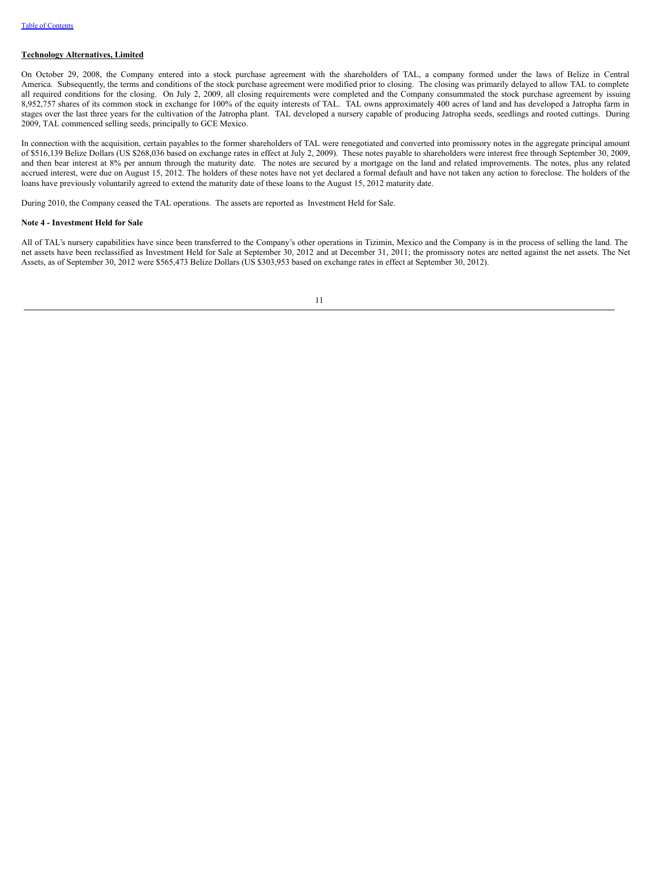## **Technology Alternatives, Limited**

On October 29, 2008, the Company entered into a stock purchase agreement with the shareholders of TAL, a company formed under the laws of Belize in Central America. Subsequently, the terms and conditions of the stock purchase agreement were modified prior to closing. The closing was primarily delayed to allow TAL to complete all required conditions for the closing. On July 2, 2009, all closing requirements were completed and the Company consummated the stock purchase agreement by issuing 8,952,757 shares of its common stock in exchange for 100% of the equity interests of TAL. TAL owns approximately 400 acres of land and has developed a Jatropha farm in stages over the last three years for the cultivation of the Jatropha plant. TAL developed a nursery capable of producing Jatropha seeds, seedlings and rooted cuttings. During 2009, TAL commenced selling seeds, principally to GCE Mexico.

In connection with the acquisition, certain payables to the former shareholders of TAL were renegotiated and converted into promissory notes in the aggregate principal amount of \$516,139 Belize Dollars (US \$268,036 based on exchange rates in effect at July 2, 2009). These notes payable to shareholders were interest free through September 30, 2009, and then bear interest at 8% per annum through the maturity date. The notes are secured by a mortgage on the land and related improvements. The notes, plus any related accrued interest, were due on August 15, 2012. The holders of these notes have not yet declared a formal default and have not taken any action to foreclose. The holders of the loans have previously voluntarily agreed to extend the maturity date of these loans to the August 15, 2012 maturity date.

During 2010, the Company ceased the TAL operations. The assets are reported as Investment Held for Sale.

#### **Note 4 - Investment Held for Sale**

All of TAL's nursery capabilities have since been transferred to the Company's other operations in Tizimin, Mexico and the Company is in the process of selling the land. The net assets have been reclassified as Investment Held for Sale at September 30, 2012 and at December 31, 2011; the promissory notes are netted against the net assets. The Net Assets, as of September 30, 2012 were \$565,473 Belize Dollars (US \$303,953 based on exchange rates in effect at September 30, 2012).

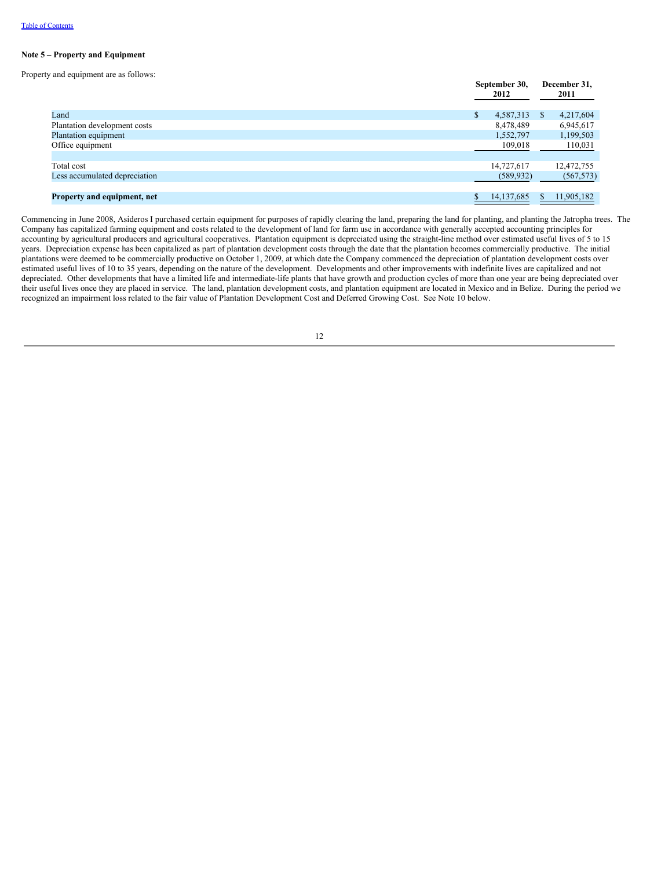#### **Note 5 – Property and Equipment**

Property and equipment are as follows:

|                               | September 30,<br>2012 | December 31,<br>2011      |
|-------------------------------|-----------------------|---------------------------|
| Land                          | \$<br>4,587,313       | 4,217,604<br><sup>S</sup> |
| Plantation development costs  | 8,478,489             | 6,945,617                 |
| Plantation equipment          | 1,552,797             | 1,199,503                 |
| Office equipment              | 109,018               | 110,031                   |
|                               |                       |                           |
| Total cost                    | 14,727,617            | 12,472,755                |
| Less accumulated depreciation | (589, 932)            | (567, 573)                |
|                               |                       |                           |
| Property and equipment, net   | 14, 137, 685          | 11,905,182<br>S.          |

Commencing in June 2008, Asideros I purchased certain equipment for purposes of rapidly clearing the land, preparing the land for planting, and planting the Jatropha trees. The Company has capitalized farming equipment and costs related to the development of land for farm use in accordance with generally accepted accounting principles for accounting by agricultural producers and agricultural cooperatives. Plantation equipment is depreciated using the straight-line method over estimated useful lives of 5 to 15 years. Depreciation expense has been capitalized as part of plantation development costs through the date that the plantation becomes commercially productive. The initial plantations were deemed to be commercially productive on October 1, 2009, at which date the Company commenced the depreciation of plantation development costs over estimated useful lives of 10 to 35 years, depending on the nature of the development. Developments and other improvements with indefinite lives are capitalized and not depreciated. Other developments that have a limited life and intermediate-life plants that have growth and production cycles of more than one year are being depreciated over their useful lives once they are placed in service. The land, plantation development costs, and plantation equipment are located in Mexico and in Belize. During the period we recognized an impairment loss related to the fair value of Plantation Development Cost and Deferred Growing Cost. See Note 10 below.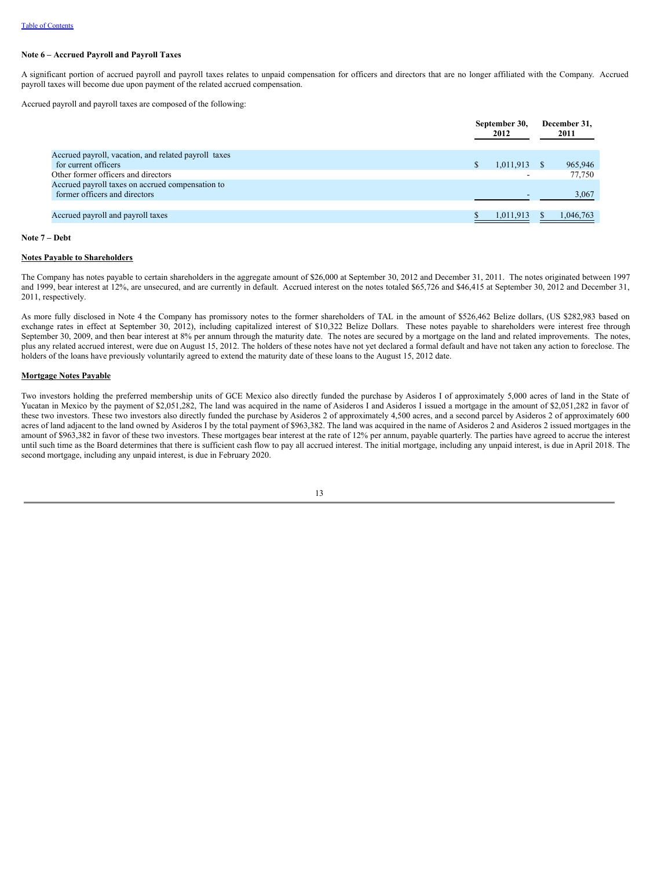## **Note 6 – Accrued Payroll and Payroll Taxes**

A significant portion of accrued payroll and payroll taxes relates to unpaid compensation for officers and directors that are no longer affiliated with the Company. Accrued payroll taxes will become due upon payment of the related accrued compensation.

Accrued payroll and payroll taxes are composed of the following:

| 2012                     |               | December 31,<br>2011 |  |
|--------------------------|---------------|----------------------|--|
|                          |               |                      |  |
| 1,011,913                |               | 965,946              |  |
| $\overline{\phantom{0}}$ |               | 77,750               |  |
|                          |               |                      |  |
|                          |               | 3,067                |  |
|                          |               |                      |  |
| 1,011,913                |               | 1,046,763            |  |
|                          | September 30, |                      |  |

#### **Note 7 – Debt**

#### **Notes Payable to Shareholders**

The Company has notes payable to certain shareholders in the aggregate amount of \$26,000 at September 30, 2012 and December 31, 2011. The notes originated between 1997 and 1999, bear interest at 12%, are unsecured, and are currently in default. Accrued interest on the notes totaled \$65,726 and \$46,415 at September 30, 2012 and December 31, 2011, respectively.

As more fully disclosed in Note 4 the Company has promissory notes to the former shareholders of TAL in the amount of \$526,462 Belize dollars, (US \$282,983 based on exchange rates in effect at September 30, 2012), including capitalized interest of \$10,322 Belize Dollars. These notes payable to shareholders were interest free through September 30, 2009, and then bear interest at 8% per annum through the maturity date. The notes are secured by a mortgage on the land and related improvements. The notes, plus any related accrued interest, were due on August 15, 2012. The holders of these notes have not yet declared a formal default and have not taken any action to foreclose. The holders of the loans have previously voluntarily agreed to extend the maturity date of these loans to the August 15, 2012 date.

#### **Mortgage Notes Payable**

Two investors holding the preferred membership units of GCE Mexico also directly funded the purchase by Asideros I of approximately 5,000 acres of land in the State of Yucatan in Mexico by the payment of \$2,051,282, The land was acquired in the name of Asideros I and Asideros I issued a mortgage in the amount of \$2,051,282 in favor of these two investors. These two investors also directly funded the purchase by Asideros 2 of approximately 4,500 acres, and a second parcel by Asideros 2 of approximately 600 acres of land adjacent to the land owned by Asideros I by the total payment of \$963,382. The land was acquired in the name of Asideros 2 and Asideros 2 issued mortgages in the amount of \$963,382 in favor of these two investors. These mortgages bear interest at the rate of 12% per annum, payable quarterly. The parties have agreed to accrue the interest until such time as the Board determines that there is sufficient cash flow to pay all accrued interest. The initial mortgage, including any unpaid interest, is due in April 2018. The second mortgage, including any unpaid interest, is due in February 2020.

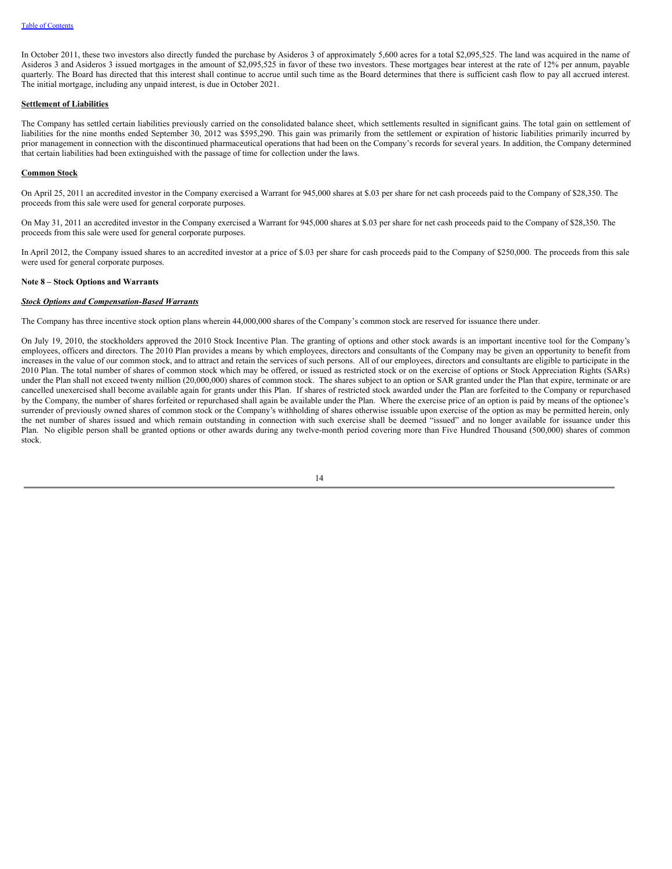In October 2011, these two investors also directly funded the purchase by Asideros 3 of approximately 5,600 acres for a total \$2,095,525. The land was acquired in the name of Asideros 3 and Asideros 3 issued mortgages in the amount of \$2,095,525 in favor of these two investors. These mortgages bear interest at the rate of 12% per annum, payable quarterly. The Board has directed that this interest shall continue to accrue until such time as the Board determines that there is sufficient cash flow to pay all accrued interest. The initial mortgage, including any unpaid interest, is due in October 2021.

### **Settlement of Liabilities**

The Company has settled certain liabilities previously carried on the consolidated balance sheet, which settlements resulted in significant gains. The total gain on settlement of liabilities for the nine months ended September 30, 2012 was \$595,290. This gain was primarily from the settlement or expiration of historic liabilities primarily incurred by prior management in connection with the discontinued pharmaceutical operations that had been on the Company's records for several years. In addition, the Company determined that certain liabilities had been extinguished with the passage of time for collection under the laws.

#### **Common Stock**

On April 25, 2011 an accredited investor in the Company exercised a Warrant for 945,000 shares at \$.03 per share for net cash proceeds paid to the Company of \$28,350. The proceeds from this sale were used for general corporate purposes.

On May 31, 2011 an accredited investor in the Company exercised a Warrant for 945,000 shares at \$.03 per share for net cash proceeds paid to the Company of \$28,350. The proceeds from this sale were used for general corporate purposes.

In April 2012, the Company issued shares to an accredited investor at a price of \$.03 per share for cash proceeds paid to the Company of \$250,000. The proceeds from this sale were used for general corporate purposes.

## **Note 8 – Stock Options and Warrants**

#### *Stock Options and Compensation-Based Warrants*

The Company has three incentive stock option plans wherein 44,000,000 shares of the Company's common stock are reserved for issuance there under.

On July 19, 2010, the stockholders approved the 2010 Stock Incentive Plan. The granting of options and other stock awards is an important incentive tool for the Company's employees, officers and directors. The 2010 Plan provides a means by which employees, directors and consultants of the Company may be given an opportunity to benefit from increases in the value of our common stock, and to attract and retain the services of such persons. All of our employees, directors and consultants are eligible to participate in the 2010 Plan. The total number of shares of common stock which may be offered, or issued as restricted stock or on the exercise of options or Stock Appreciation Rights (SARs) under the Plan shall not exceed twenty million (20,000,000) shares of common stock. The shares subject to an option or SAR granted under the Plan that expire, terminate or are cancelled unexercised shall become available again for grants under this Plan. If shares of restricted stock awarded under the Plan are forfeited to the Company or repurchased by the Company, the number of shares forfeited or repurchased shall again be available under the Plan. Where the exercise price of an option is paid by means of the optionee's surrender of previously owned shares of common stock or the Company's withholding of shares otherwise issuable upon exercise of the option as may be permitted herein, only the net number of shares issued and which remain outstanding in connection with such exercise shall be deemed "issued" and no longer available for issuance under this Plan. No eligible person shall be granted options or other awards during any twelve-month period covering more than Five Hundred Thousand (500,000) shares of common stock.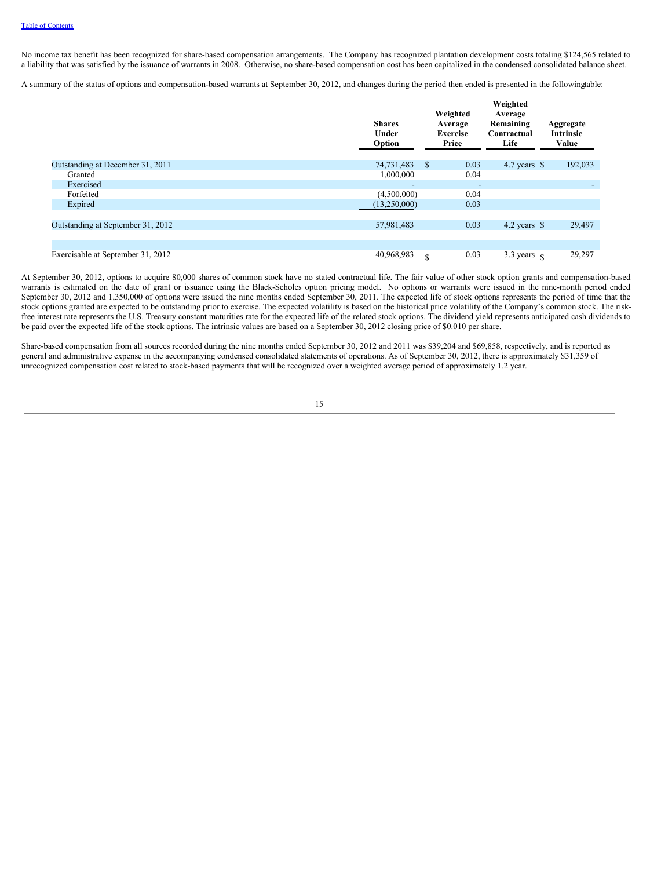No income tax benefit has been recognized for share-based compensation arrangements. The Company has recognized plantation development costs totaling \$124,565 related to a liability that was satisfied by the issuance of warrants in 2008. Otherwise, no share-based compensation cost has been capitalized in the condensed consolidated balance sheet.

A summary of the status of options and compensation-based warrants at September 30, 2012, and changes during the period then ended is presented in the followingtable:

|                                   | <b>Shares</b><br>Under<br>Option | Weighted<br>Average<br><b>Exercise</b><br>Price |                          | Weighted<br>Average<br>Remaining<br>Contractual<br>Life | Aggregate<br><b>Intrinsic</b><br>Value |         |
|-----------------------------------|----------------------------------|-------------------------------------------------|--------------------------|---------------------------------------------------------|----------------------------------------|---------|
| Outstanding at December 31, 2011  | 74,731,483                       | <sup>\$</sup>                                   | 0.03                     | 4.7 years $\$$                                          |                                        | 192,033 |
| Granted                           | 1,000,000                        |                                                 | 0.04                     |                                                         |                                        |         |
| Exercised                         | $\overline{\phantom{a}}$         |                                                 | $\overline{\phantom{a}}$ |                                                         |                                        |         |
| Forfeited                         | (4,500,000)                      |                                                 | 0.04                     |                                                         |                                        |         |
| Expired                           | (13,250,000)                     |                                                 | 0.03                     |                                                         |                                        |         |
|                                   |                                  |                                                 |                          |                                                         |                                        |         |
| Outstanding at September 31, 2012 | 57,981,483                       |                                                 | 0.03                     | 4.2 years $\$$                                          |                                        | 29,497  |
|                                   |                                  |                                                 |                          |                                                         |                                        |         |
|                                   |                                  |                                                 |                          |                                                         |                                        |         |
| Exercisable at September 31, 2012 | 40,968,983                       | $\mathbf S$                                     | 0.03                     | 3.3 years $\epsilon$                                    |                                        | 29,297  |

At September 30, 2012, options to acquire 80,000 shares of common stock have no stated contractual life. The fair value of other stock option grants and compensation-based warrants is estimated on the date of grant or issuance using the Black-Scholes option pricing model. No options or warrants were issued in the nine-month period ended September 30, 2012 and 1,350,000 of options were issued the nine months ended September 30, 2011. The expected life of stock options represents the period of time that the stock options granted are expected to be outstanding prior to exercise. The expected volatility is based on the historical price volatility of the Company's common stock. The riskfree interest rate represents the U.S. Treasury constant maturities rate for the expected life of the related stock options. The dividend yield represents anticipated cash dividends to be paid over the expected life of the stock options. The intrinsic values are based on a September 30, 2012 closing price of \$0.010 per share.

Share-based compensation from all sources recorded during the nine months ended September 30, 2012 and 2011 was \$39,204 and \$69,858, respectively, and is reported as general and administrative expense in the accompanying condensed consolidated statements of operations. As of September 30, 2012, there is approximately \$31,359 of unrecognized compensation cost related to stock-based payments that will be recognized over a weighted average period of approximately 1.2 year.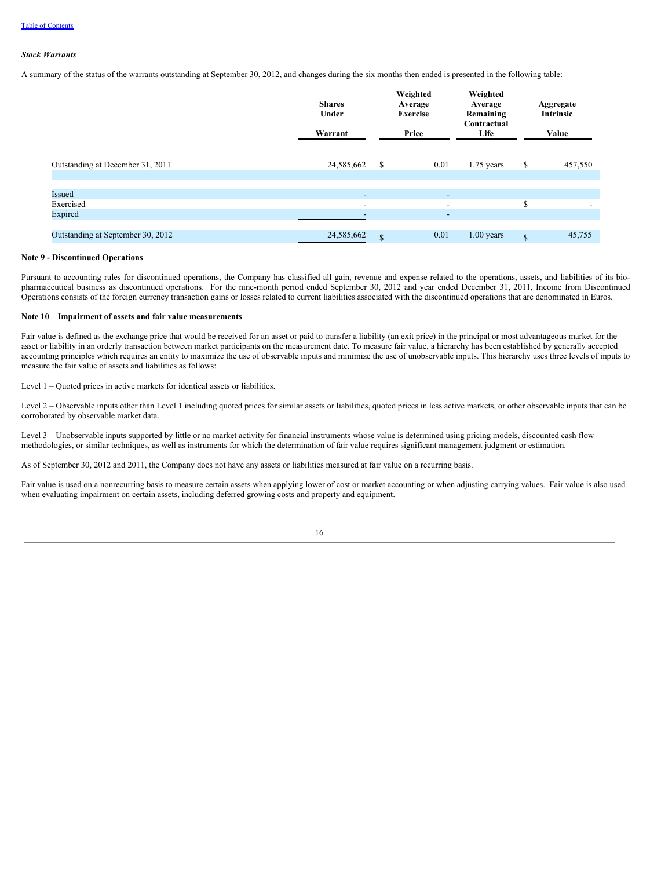## *Stock Warrants*

A summary of the status of the warrants outstanding at September 30, 2012, and changes during the six months then ended is presented in the following table:

|                                   | <b>Shares</b><br>Under<br>Warrant |              | Weighted<br>Average<br><b>Exercise</b><br>Price | Weighted<br>Average<br>Remaining<br>Contractual<br>Life | Aggregate<br><b>Intrinsic</b><br>Value |                          |
|-----------------------------------|-----------------------------------|--------------|-------------------------------------------------|---------------------------------------------------------|----------------------------------------|--------------------------|
| Outstanding at December 31, 2011  | 24,585,662                        | \$           | 0.01                                            | $1.75$ years                                            | \$                                     | 457,550                  |
| Issued                            | $\overline{\phantom{0}}$          |              | $\sim$                                          |                                                         |                                        |                          |
| Exercised<br>Expired              | $\overline{\phantom{a}}$          |              | $\overline{\phantom{a}}$<br>۰                   |                                                         | \$                                     | $\overline{\phantom{a}}$ |
| Outstanding at September 30, 2012 | 24,585,662                        | $\mathbb{S}$ | 0.01                                            | $1.00$ years                                            | $\mathcal{S}$                          | 45,755                   |

### **Note 9 - Discontinued Operations**

Pursuant to accounting rules for discontinued operations, the Company has classified all gain, revenue and expense related to the operations, assets, and liabilities of its biopharmaceutical business as discontinued operations. For the nine-month period ended September 30, 2012 and year ended December 31, 2011, Income from Discontinued Operations consists of the foreign currency transaction gains or losses related to current liabilities associated with the discontinued operations that are denominated in Euros.

### **Note 10 – Impairment of assets and fair value measurements**

Fair value is defined as the exchange price that would be received for an asset or paid to transfer a liability (an exit price) in the principal or most advantageous market for the asset or liability in an orderly transaction between market participants on the measurement date. To measure fair value, a hierarchy has been established by generally accepted accounting principles which requires an entity to maximize the use of observable inputs and minimize the use of unobservable inputs. This hierarchy uses three levels of inputs to measure the fair value of assets and liabilities as follows:

Level 1 – Quoted prices in active markets for identical assets or liabilities.

Level 2 – Observable inputs other than Level 1 including quoted prices for similar assets or liabilities, quoted prices in less active markets, or other observable inputs that can be corroborated by observable market data.

Level 3 – Unobservable inputs supported by little or no market activity for financial instruments whose value is determined using pricing models, discounted cash flow methodologies, or similar techniques, as well as instruments for which the determination of fair value requires significant management judgment or estimation.

As of September 30, 2012 and 2011, the Company does not have any assets or liabilities measured at fair value on a recurring basis.

Fair value is used on a nonrecurring basis to measure certain assets when applying lower of cost or market accounting or when adjusting carrying values. Fair value is also used when evaluating impairment on certain assets, including deferred growing costs and property and equipment.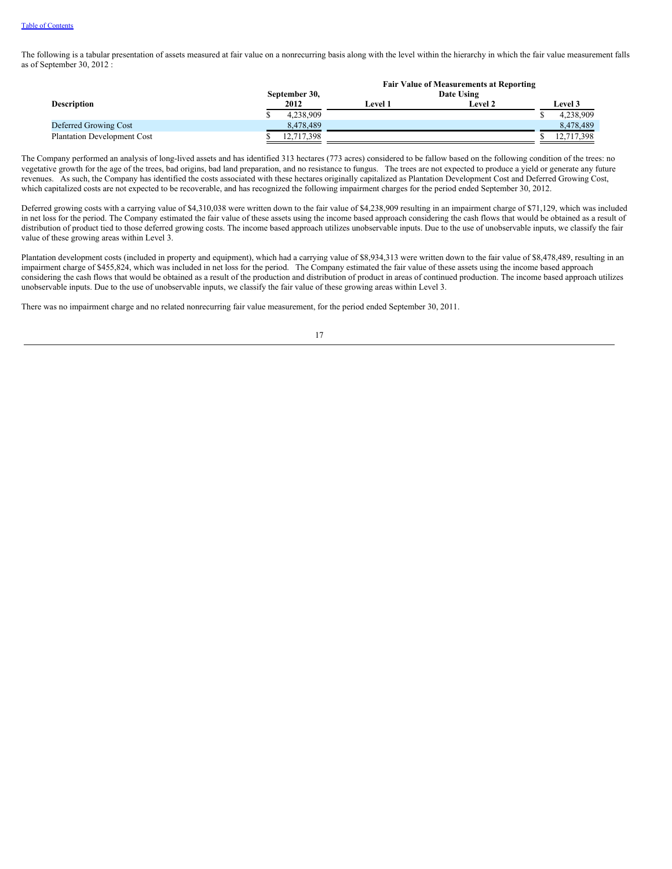The following is a tabular presentation of assets measured at fair value on a nonrecurring basis along with the level within the hierarchy in which the fair value measurement falls as of September 30, 2012 :

|                                    |               | <b>Fair Value of Measurements at Reporting</b> |                |  |                |  |
|------------------------------------|---------------|------------------------------------------------|----------------|--|----------------|--|
|                                    | September 30, | Date Using                                     |                |  |                |  |
| <b>Description</b>                 | 2012          | <b>Level 1</b>                                 | <b>Level 2</b> |  | <b>Level 3</b> |  |
|                                    | 4,238,909     |                                                |                |  | 4.238.909      |  |
| Deferred Growing Cost              | 8.478.489     |                                                |                |  | 8.478.489      |  |
| <b>Plantation Development Cost</b> | 12.717.398    |                                                |                |  | 12,717,398     |  |

The Company performed an analysis of long-lived assets and has identified 313 hectares (773 acres) considered to be fallow based on the following condition of the trees: no vegetative growth for the age of the trees, bad origins, bad land preparation, and no resistance to fungus. The trees are not expected to produce a yield or generate any future revenues. As such, the Company has identified the costs associated with these hectares originally capitalized as Plantation Development Cost and Deferred Growing Cost, which capitalized costs are not expected to be recoverable, and has recognized the following impairment charges for the period ended September 30, 2012.

Deferred growing costs with a carrying value of \$4,310,038 were written down to the fair value of \$4,238,909 resulting in an impairment charge of \$71,129, which was included in net loss for the period. The Company estimated the fair value of these assets using the income based approach considering the cash flows that would be obtained as a result of distribution of product tied to those deferred growing costs. The income based approach utilizes unobservable inputs. Due to the use of unobservable inputs, we classify the fair value of these growing areas within Level 3.

Plantation development costs (included in property and equipment), which had a carrying value of \$8,934,313 were written down to the fair value of \$8,478,489, resulting in an impairment charge of \$455,824, which was included in net loss for the period. The Company estimated the fair value of these assets using the income based approach considering the cash flows that would be obtained as a result of the production and distribution of product in areas of continued production. The income based approach utilizes unobservable inputs. Due to the use of unobservable inputs, we classify the fair value of these growing areas within Level 3.

There was no impairment charge and no related nonrecurring fair value measurement, for the period ended September 30, 2011.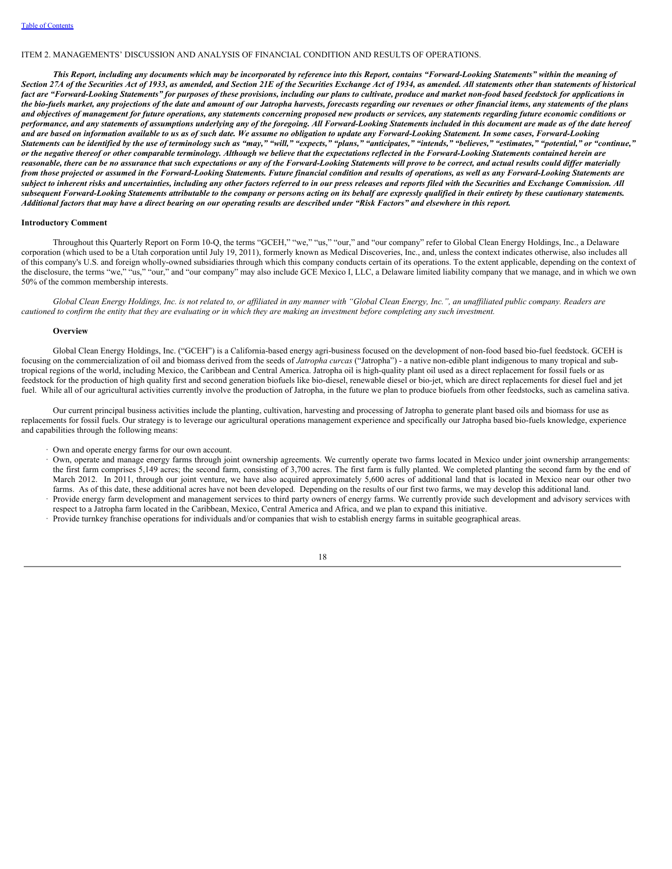#### <span id="page-20-0"></span>ITEM 2. MANAGEMENTS' DISCUSSION AND ANALYSIS OF FINANCIAL CONDITION AND RESULTS OF OPERATIONS.

This Report, including any documents which may be incorporated by reference into this Report, contains "Forward-Looking Statements" within the meaning of Section 27A of the Securities Act of 1933, as amended, and Section 21E of the Securities Exchange Act of 1934, as amended. All statements other than statements of historical fact are "Forward-Looking Statements" for purposes of these provisions, including our plans to cultivate, produce and market non-food based feedstock for applications in the bio-fuels market, any projections of the date and amount of our Jatropha harvests, forecasts regarding our revenues or other financial items, any statements of the plans and objectives of management for future operations, any statements concerning proposed new products or services, any statements regarding future economic conditions or performance, and any statements of assumptions underlying any of the foregoing. All Forward-Looking Statements included in this document are made as of the date hereof and are based on information available to us as of such date. We assume no obligation to update any Forward-Looking Statement. In some cases, Forward-Looking Statements can be identified by the use of terminology such as "may," "will," "expects," "plans," "anticipates," "intends," "believes," "estimates," "potential," or "continue," or the negative thereof or other comparable terminology. Although we believe that the expectations reflected in the Forward-Looking Statements contained herein are reasonable, there can be no assurance that such expectations or any of the Forward-Looking Statements will prove to be correct, and actual results could differ materially from those projected or assumed in the Forward-Looking Statements. Future financial condition and results of operations, as well as any Forward-Looking Statements are subject to inherent risks and uncertainties, including any other factors referred to in our press releases and reports filed with the Securities and Exchange Commission. All subsequent Forward-Looking Statements attributable to the company or persons acting on its behalf are expressly qualified in their entirety by these cautionary statements. Additional factors that may have a direct bearing on our operating results are described under "Risk Factors" and elsewhere in this report.

### **Introductory Comment**

Throughout this Quarterly Report on Form 10-Q, the terms "GCEH," "we," "us," "our," and "our company" refer to Global Clean Energy Holdings, Inc., a Delaware corporation (which used to be a Utah corporation until July 19, 2011), formerly known as Medical Discoveries, Inc., and, unless the context indicates otherwise, also includes all of this company's U.S. and foreign wholly-owned subsidiaries through which this company conducts certain of its operations. To the extent applicable, depending on the context of the disclosure, the terms "we," "us," "our," and "our company" may also include GCE Mexico I, LLC, a Delaware limited liability company that we manage, and in which we own 50% of the common membership interests.

Global Clean Energy Holdings, Inc. is not related to, or affiliated in any manner with "Global Clean Energy, Inc.", an unaffiliated public company. Readers are cautioned to confirm the entity that they are evaluating or in which they are making an investment before completing any such investment.

## **Overview**

Global Clean Energy Holdings, Inc. ("GCEH") is a California-based energy agri-business focused on the development of non-food based bio-fuel feedstock. GCEH is focusing on the commercialization of oil and biomass derived from the seeds of *Jatropha curcas* ("Jatropha") - a native non-edible plant indigenous to many tropical and subtropical regions of the world, including Mexico, the Caribbean and Central America. Jatropha oil is high-quality plant oil used as a direct replacement for fossil fuels or as feedstock for the production of high quality first and second generation biofuels like bio-diesel, renewable diesel or bio-jet, which are direct replacements for diesel fuel and jet fuel. While all of our agricultural activities currently involve the production of Jatropha, in the future we plan to produce biofuels from other feedstocks, such as camelina sativa.

Our current principal business activities include the planting, cultivation, harvesting and processing of Jatropha to generate plant based oils and biomass for use as replacements for fossil fuels. Our strategy is to leverage our agricultural operations management experience and specifically our Jatropha based bio-fuels knowledge, experience and capabilities through the following means:

· Own and operate energy farms for our own account.

- · Own, operate and manage energy farms through joint ownership agreements. We currently operate two farms located in Mexico under joint ownership arrangements: the first farm comprises 5,149 acres; the second farm, consisting of 3,700 acres. The first farm is fully planted. We completed planting the second farm by the end of March 2012. In 2011, through our joint venture, we have also acquired approximately 5,600 acres of additional land that is located in Mexico near our other two farms. As of this date, these additional acres have not been developed. Depending on the results of our first two farms, we may develop this additional land.
- Provide energy farm development and management services to third party owners of energy farms. We currently provide such development and advisory services with respect to a Jatropha farm located in the Caribbean, Mexico, Central America and Africa, and we plan to expand this initiative.
- · Provide turnkey franchise operations for individuals and/or companies that wish to establish energy farms in suitable geographical areas.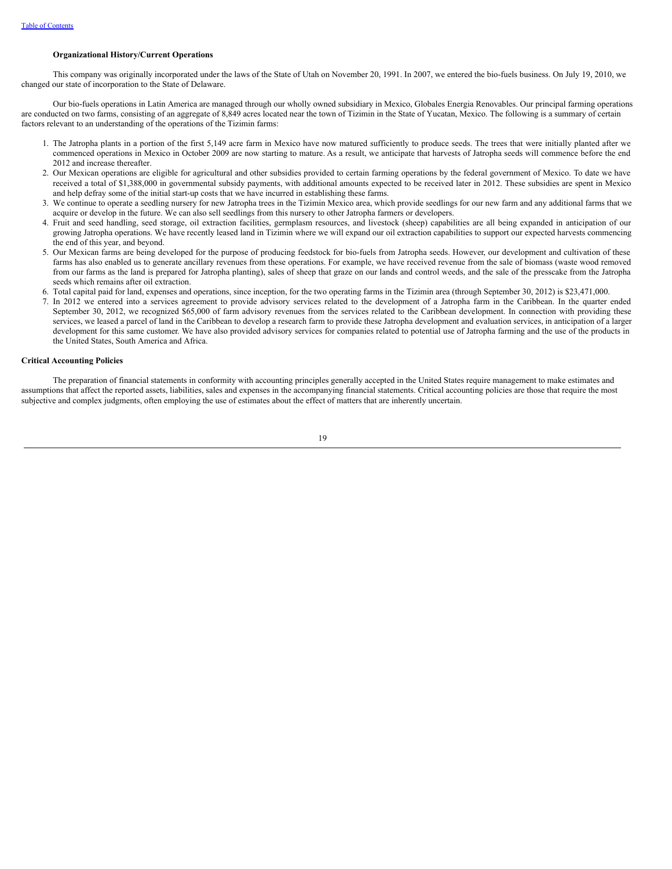#### **Organizational History/Current Operations**

This company was originally incorporated under the laws of the State of Utah on November 20, 1991. In 2007, we entered the bio-fuels business. On July 19, 2010, we changed our state of incorporation to the State of Delaware.

Our bio-fuels operations in Latin America are managed through our wholly owned subsidiary in Mexico, Globales Energia Renovables. Our principal farming operations are conducted on two farms, consisting of an aggregate of 8,849 acres located near the town of Tizimin in the State of Yucatan, Mexico. The following is a summary of certain factors relevant to an understanding of the operations of the Tizimin farms:

- 1. The Jatropha plants in a portion of the first 5,149 acre farm in Mexico have now matured sufficiently to produce seeds. The trees that were initially planted after we commenced operations in Mexico in October 2009 are now starting to mature. As a result, we anticipate that harvests of Jatropha seeds will commence before the end 2012 and increase thereafter.
- 2. Our Mexican operations are eligible for agricultural and other subsidies provided to certain farming operations by the federal government of Mexico. To date we have received a total of \$1,388,000 in governmental subsidy payments, with additional amounts expected to be received later in 2012. These subsidies are spent in Mexico and help defray some of the initial start-up costs that we have incurred in establishing these farms.
- 3. We continue to operate a seedling nursery for new Jatropha trees in the Tizimin Mexico area, which provide seedlings for our new farm and any additional farms that we acquire or develop in the future. We can also sell seedlings from this nursery to other Jatropha farmers or developers.
- 4. Fruit and seed handling, seed storage, oil extraction facilities, germplasm resources, and livestock (sheep) capabilities are all being expanded in anticipation of our growing Jatropha operations. We have recently leased land in Tizimin where we will expand our oil extraction capabilities to support our expected harvests commencing the end of this year, and beyond.
- 5. Our Mexican farms are being developed for the purpose of producing feedstock for bio-fuels from Jatropha seeds. However, our development and cultivation of these farms has also enabled us to generate ancillary revenues from these operations. For example, we have received revenue from the sale of biomass (waste wood removed from our farms as the land is prepared for Jatropha planting), sales of sheep that graze on our lands and control weeds, and the sale of the presscake from the Jatropha seeds which remains after oil extraction.
- 6. Total capital paid for land, expenses and operations, since inception, for the two operating farms in the Tizimin area (through September 30, 2012) is \$23,471,000.
- 7. In 2012 we entered into a services agreement to provide advisory services related to the development of a Jatropha farm in the Caribbean. In the quarter ended September 30, 2012, we recognized \$65,000 of farm advisory revenues from the services related to the Caribbean development. In connection with providing these services, we leased a parcel of land in the Caribbean to develop a research farm to provide these Jatropha development and evaluation services, in anticipation of a larger development for this same customer. We have also provided advisory services for companies related to potential use of Jatropha farming and the use of the products in the United States, South America and Africa.

#### **Critical Accounting Policies**

The preparation of financial statements in conformity with accounting principles generally accepted in the United States require management to make estimates and assumptions that affect the reported assets, liabilities, sales and expenses in the accompanying financial statements. Critical accounting policies are those that require the most subjective and complex judgments, often employing the use of estimates about the effect of matters that are inherently uncertain.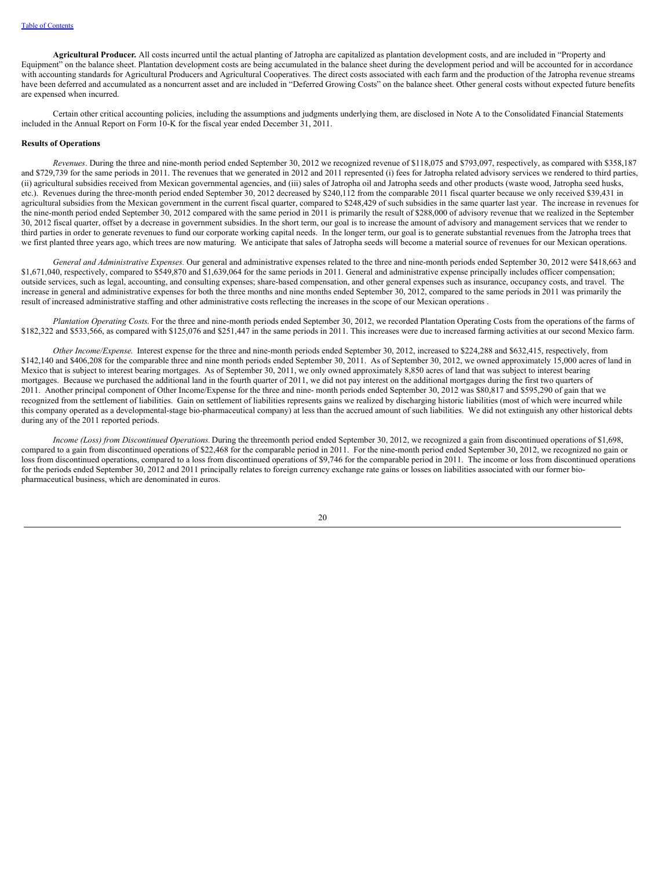**Agricultural Producer***.* All costs incurred until the actual planting of Jatropha are capitalized as plantation development costs, and are included in "Property and Equipment" on the balance sheet. Plantation development costs are being accumulated in the balance sheet during the development period and will be accounted for in accordance with accounting standards for Agricultural Producers and Agricultural Cooperatives. The direct costs associated with each farm and the production of the Jatropha revenue streams have been deferred and accumulated as a noncurrent asset and are included in "Deferred Growing Costs" on the balance sheet. Other general costs without expected future benefits are expensed when incurred.

Certain other critical accounting policies, including the assumptions and judgments underlying them, are disclosed in Note A to the Consolidated Financial Statements included in the Annual Report on Form 10-K for the fiscal year ended December 31, 2011.

## **Results of Operations**

*Revenues*. During the three and nine-month period ended September 30, 2012 we recognized revenue of \$118,075 and \$793,097, respectively, as compared with \$358,187 and \$729,739 for the same periods in 2011. The revenues that we generated in 2012 and 2011 represented (i) fees for Jatropha related advisory services we rendered to third parties, (ii) agricultural subsidies received from Mexican governmental agencies, and (iii) sales of Jatropha oil and Jatropha seeds and other products (waste wood, Jatropha seed husks, etc.). Revenues during the three-month period ended September 30, 2012 decreased by \$240,112 from the comparable 2011 fiscal quarter because we only received \$39,431 in agricultural subsidies from the Mexican government in the current fiscal quarter, compared to \$248,429 of such subsidies in the same quarter last year. The increase in revenues for the nine-month period ended September 30, 2012 compared with the same period in 2011 is primarily the result of \$288,000 of advisory revenue that we realized in the September 30, 2012 fiscal quarter, offset by a decrease in government subsidies. In the short term, our goal is to increase the amount of advisory and management services that we render to third parties in order to generate revenues to fund our corporate working capital needs. In the longer term, our goal is to generate substantial revenues from the Jatropha trees that we first planted three years ago, which trees are now maturing. We anticipate that sales of Jatropha seeds will become a material source of revenues for our Mexican operations.

*General and Administrative Expenses.* Our general and administrative expenses related to the three and nine-month periods ended September 30, 2012 were \$418,663 and \$1,671,040, respectively, compared to \$549,870 and \$1,639,064 for the same periods in 2011. General and administrative expense principally includes officer compensation; outside services, such as legal, accounting, and consulting expenses; share-based compensation, and other general expenses such as insurance, occupancy costs, and travel. The increase in general and administrative expenses for both the three months and nine months ended September 30, 2012, compared to the same periods in 2011 was primarily the result of increased administrative staffing and other administrative costs reflecting the increases in the scope of our Mexican operations .

*Plantation Operating Costs*. For the three and nine-month periods ended September 30, 2012, we recorded Plantation Operating Costs from the operations of the farms of \$182,322 and \$533,566, as compared with \$125,076 and \$251,447 in the same periods in 2011. This increases were due to increased farming activities at our second Mexico farm.

*Other Income/Expense*. Interest expense for the three and nine-month periods ended September 30, 2012, increased to \$224,288 and \$632,415, respectively, from \$142,140 and \$406,208 for the comparable three and nine month periods ended September 30, 2011. As of September 30, 2012, we owned approximately 15,000 acres of land in Mexico that is subject to interest bearing mortgages. As of September 30, 2011, we only owned approximately 8,850 acres of land that was subject to interest bearing mortgages. Because we purchased the additional land in the fourth quarter of 2011, we did not pay interest on the additional mortgages during the first two quarters of 2011. Another principal component of Other Income/Expense for the three and nine- month periods ended September 30, 2012 was \$80,817 and \$595,290 of gain that we recognized from the settlement of liabilities. Gain on settlement of liabilities represents gains we realized by discharging historic liabilities (most of which were incurred while this company operated as a developmental-stage bio-pharmaceutical company) at less than the accrued amount of such liabilities. We did not extinguish any other historical debts during any of the 2011 reported periods.

*Income (Loss) from Discontinued Operations.* During the threemonth period ended September 30, 2012, we recognized a gain from discontinued operations of \$1,698, compared to a gain from discontinued operations of \$22,468 for the comparable period in 2011. For the nine-month period ended September 30, 2012, we recognized no gain or loss from discontinued operations, compared to a loss from discontinued operations of \$9,746 for the comparable period in 2011. The income or loss from discontinued operations for the periods ended September 30, 2012 and 2011 principally relates to foreign currency exchange rate gains or losses on liabilities associated with our former biopharmaceutical business, which are denominated in euros.

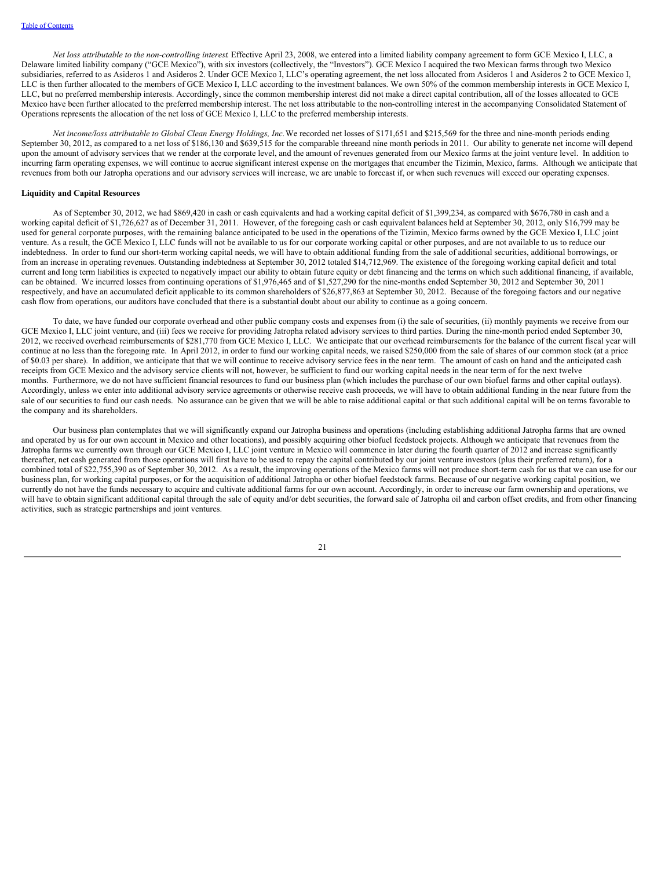*Net loss attributable to the non-controlling interest*. Effective April 23, 2008, we entered into a limited liability company agreement to form GCE Mexico I, LLC, a Delaware limited liability company ("GCE Mexico"), with six investors (collectively, the "Investors"). GCE Mexico I acquired the two Mexican farms through two Mexico subsidiaries, referred to as Asideros 1 and Asideros 2. Under GCE Mexico I, LLC's operating agreement, the net loss allocated from Asideros 1 and Asideros 2 to GCE Mexico I, LLC is then further allocated to the members of GCE Mexico I, LLC according to the investment balances. We own 50% of the common membership interests in GCE Mexico I, LLC, but no preferred membership interests. Accordingly, since the common membership interest did not make a direct capital contribution, all of the losses allocated to GCE Mexico have been further allocated to the preferred membership interest. The net loss attributable to the non-controlling interest in the accompanying Consolidated Statement of Operations represents the allocation of the net loss of GCE Mexico I, LLC to the preferred membership interests.

*Net income/loss attributable to Global Clean Energy Holdings, Inc.*We recorded net losses of \$171,651 and \$215,569 for the three and nine-month periods ending September 30, 2012, as compared to a net loss of \$186,130 and \$639,515 for the comparable threeand nine month periods in 2011. Our ability to generate net income will depend upon the amount of advisory services that we render at the corporate level, and the amount of revenues generated from our Mexico farms at the joint venture level. In addition to incurring farm operating expenses, we will continue to accrue significant interest expense on the mortgages that encumber the Tizimin, Mexico, farms. Although we anticipate that revenues from both our Jatropha operations and our advisory services will increase, we are unable to forecast if, or when such revenues will exceed our operating expenses.

#### **Liquidity and Capital Resources**

As of September 30, 2012, we had \$869,420 in cash or cash equivalents and had a working capital deficit of \$1,399,234, as compared with \$676,780 in cash and a working capital deficit of \$1,726,627 as of December 31, 2011. However, of the foregoing cash or cash equivalent balances held at September 30, 2012, only \$16,799 may be used for general corporate purposes, with the remaining balance anticipated to be used in the operations of the Tizimin, Mexico farms owned by the GCE Mexico I, LLC joint venture. As a result, the GCE Mexico I, LLC funds will not be available to us for our corporate working capital or other purposes, and are not available to us to reduce our indebtedness. In order to fund our short-term working capital needs, we will have to obtain additional funding from the sale of additional securities, additional borrowings, or from an increase in operating revenues. Outstanding indebtedness at September 30, 2012 totaled \$14,712,969. The existence of the foregoing working capital deficit and total current and long term liabilities is expected to negatively impact our ability to obtain future equity or debt financing and the terms on which such additional financing, if available, can be obtained. We incurred losses from continuing operations of \$1,976,465 and of \$1,527,290 for the nine-months ended September 30, 2012 and September 30, 2011 respectively, and have an accumulated deficit applicable to its common shareholders of \$26,877,863 at September 30, 2012. Because of the foregoing factors and our negative cash flow from operations, our auditors have concluded that there is a substantial doubt about our ability to continue as a going concern.

To date, we have funded our corporate overhead and other public company costs and expenses from (i) the sale of securities, (ii) monthly payments we receive from our GCE Mexico I, LLC joint venture, and (iii) fees we receive for providing Jatropha related advisory services to third parties. During the nine-month period ended September 30, 2012, we received overhead reimbursements of \$281,770 from GCE Mexico I, LLC. We anticipate that our overhead reimbursements for the balance of the current fiscal year will continue at no less than the foregoing rate. In April 2012, in order to fund our working capital needs, we raised \$250,000 from the sale of shares of our common stock (at a price of \$0.03 per share). In addition, we anticipate that that we will continue to receive advisory service fees in the near term. The amount of cash on hand and the anticipated cash receipts from GCE Mexico and the advisory service clients will not, however, be sufficient to fund our working capital needs in the near term of for the next twelve months. Furthermore, we do not have sufficient financial resources to fund our business plan (which includes the purchase of our own biofuel farms and other capital outlays). Accordingly, unless we enter into additional advisory service agreements or otherwise receive cash proceeds, we will have to obtain additional funding in the near future from the sale of our securities to fund our cash needs. No assurance can be given that we will be able to raise additional capital or that such additional capital will be on terms favorable to the company and its shareholders.

Our business plan contemplates that we will significantly expand our Jatropha business and operations (including establishing additional Jatropha farms that are owned and operated by us for our own account in Mexico and other locations), and possibly acquiring other biofuel feedstock projects. Although we anticipate that revenues from the Jatropha farms we currently own through our GCE Mexico I, LLC joint venture in Mexico will commence in later during the fourth quarter of 2012 and increase significantly thereafter, net cash generated from those operations will first have to be used to repay the capital contributed by our joint venture investors (plus their preferred return), for a combined total of \$22,755,390 as of September 30, 2012. As a result, the improving operations of the Mexico farms will not produce short-term cash for us that we can use for our business plan, for working capital purposes, or for the acquisition of additional Jatropha or other biofuel feedstock farms. Because of our negative working capital position, we currently do not have the funds necessary to acquire and cultivate additional farms for our own account. Accordingly, in order to increase our farm ownership and operations, we will have to obtain significant additional capital through the sale of equity and/or debt securities, the forward sale of Jatropha oil and carbon offset credits, and from other financing activities, such as strategic partnerships and joint ventures.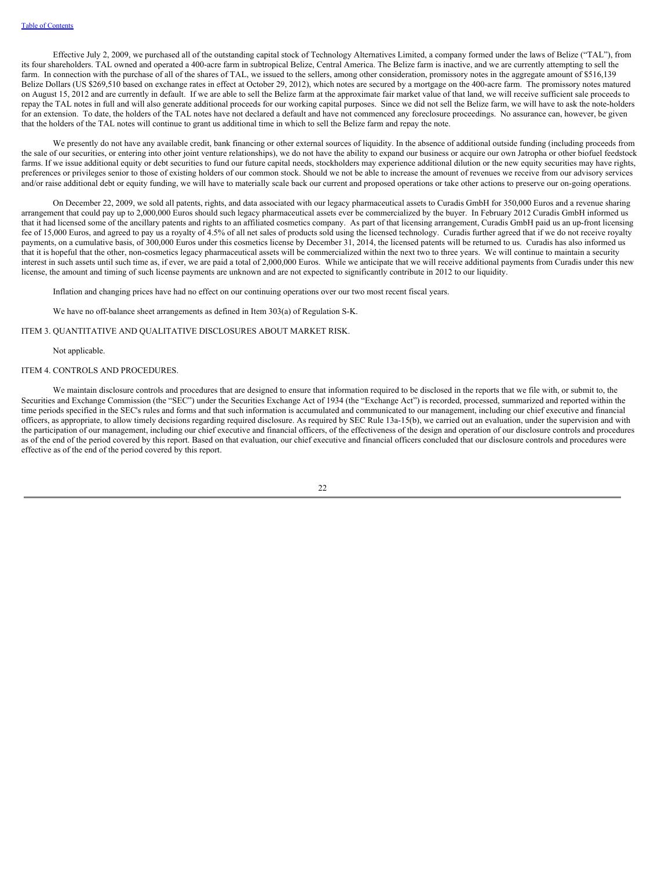Effective July 2, 2009, we purchased all of the outstanding capital stock of Technology Alternatives Limited, a company formed under the laws of Belize ("TAL"), from its four shareholders. TAL owned and operated a 400-acre farm in subtropical Belize, Central America. The Belize farm is inactive, and we are currently attempting to sell the farm. In connection with the purchase of all of the shares of TAL, we issued to the sellers, among other consideration, promissory notes in the aggregate amount of \$516,139 Belize Dollars (US \$269,510 based on exchange rates in effect at October 29, 2012), which notes are secured by a mortgage on the 400-acre farm. The promissory notes matured on August 15, 2012 and are currently in default. If we are able to sell the Belize farm at the approximate fair market value of that land, we will receive sufficient sale proceeds to repay the TAL notes in full and will also generate additional proceeds for our working capital purposes. Since we did not sell the Belize farm, we will have to ask the note-holders for an extension. To date, the holders of the TAL notes have not declared a default and have not commenced any foreclosure proceedings. No assurance can, however, be given that the holders of the TAL notes will continue to grant us additional time in which to sell the Belize farm and repay the note.

We presently do not have any available credit, bank financing or other external sources of liquidity. In the absence of additional outside funding (including proceeds from the sale of our securities, or entering into other joint venture relationships), we do not have the ability to expand our business or acquire our own Jatropha or other biofuel feedstock farms. If we issue additional equity or debt securities to fund our future capital needs, stockholders may experience additional dilution or the new equity securities may have rights, preferences or privileges senior to those of existing holders of our common stock. Should we not be able to increase the amount of revenues we receive from our advisory services and/or raise additional debt or equity funding, we will have to materially scale back our current and proposed operations or take other actions to preserve our on-going operations.

On December 22, 2009, we sold all patents, rights, and data associated with our legacy pharmaceutical assets to Curadis GmbH for 350,000 Euros and a revenue sharing arrangement that could pay up to 2,000,000 Euros should such legacy pharmaceutical assets ever be commercialized by the buyer. In February 2012 Curadis GmbH informed us that it had licensed some of the ancillary patents and rights to an affiliated cosmetics company. As part of that licensing arrangement, Curadis GmbH paid us an up-front licensing fee of 15,000 Euros, and agreed to pay us a royalty of 4.5% of all net sales of products sold using the licensed technology. Curadis further agreed that if we do not receive royalty payments, on a cumulative basis, of 300,000 Euros under this cosmetics license by December 31, 2014, the licensed patents will be returned to us. Curadis has also informed us that it is hopeful that the other, non-cosmetics legacy pharmaceutical assets will be commercialized within the next two to three years. We will continue to maintain a security interest in such assets until such time as, if ever, we are paid a total of 2,000,000 Euros. While we anticipate that we will receive additional payments from Curadis under this new license, the amount and timing of such license payments are unknown and are not expected to significantly contribute in 2012 to our liquidity.

Inflation and changing prices have had no effect on our continuing operations over our two most recent fiscal years.

We have no off-balance sheet arrangements as defined in Item 303(a) of Regulation S-K.

<span id="page-24-0"></span>ITEM 3. QUANTITATIVE AND QUALITATIVE DISCLOSURES ABOUT MARKET RISK.

Not applicable.

#### ITEM 4. CONTROLS AND PROCEDURES.

We maintain disclosure controls and procedures that are designed to ensure that information required to be disclosed in the reports that we file with, or submit to, the Securities and Exchange Commission (the "SEC") under the Securities Exchange Act of 1934 (the "Exchange Act") is recorded, processed, summarized and reported within the time periods specified in the SEC's rules and forms and that such information is accumulated and communicated to our management, including our chief executive and financial officers, as appropriate, to allow timely decisions regarding required disclosure. As required by SEC Rule 13a-15(b), we carried out an evaluation, under the supervision and with the participation of our management, including our chief executive and financial officers, of the effectiveness of the design and operation of our disclosure controls and procedures as of the end of the period covered by this report. Based on that evaluation, our chief executive and financial officers concluded that our disclosure controls and procedures were effective as of the end of the period covered by this report.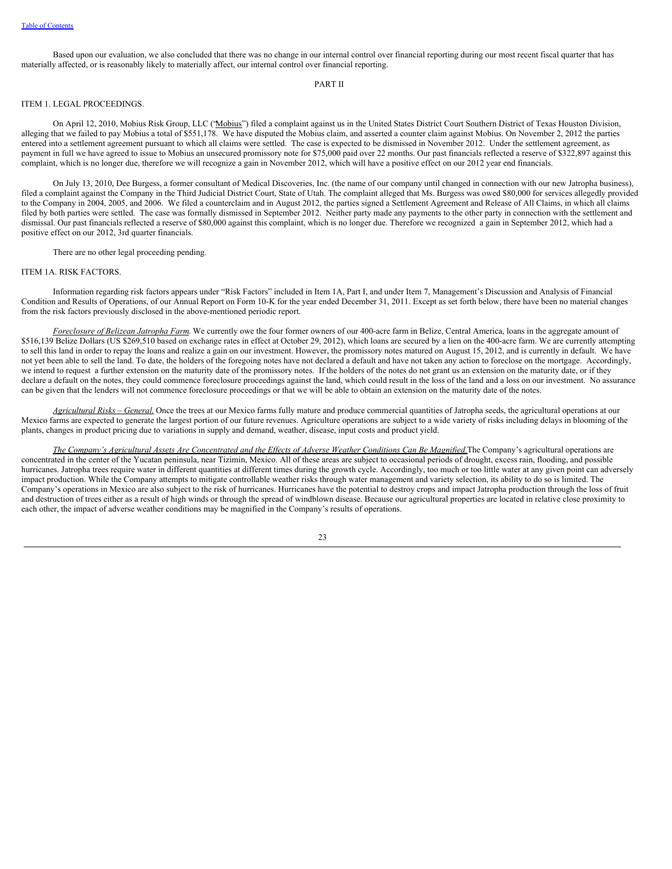Based upon our evaluation, we also concluded that there was no change in our internal control over financial reporting during our most recent fiscal quarter that has materially affected, or is reasonably likely to materially affect, our internal control over financial reporting.

#### <span id="page-25-0"></span>PART II

## ITEM 1. LEGAL PROCEEDINGS.

On April 12, 2010, Mobius Risk Group, LLC ("Mobius") filed a complaint against us in the United States District Court Southern District of Texas Houston Division, alleging that we failed to pay Mobius a total of \$551,178. We have disputed the Mobius claim, and asserted a counter claim against Mobius. On November 2, 2012 the parties entered into a settlement agreement pursuant to which all claims were settled. The case is expected to be dismissed in November 2012. Under the settlement agreement, as payment in full we have agreed to issue to Mobius an unsecured promissory note for \$75,000 paid over 22 months. Our past financials reflected a reserve of \$322,897 against this complaint, which is no longer due, therefore we will recognize a gain in November 2012, which will have a positive effect on our 2012 year end financials.

On July 13, 2010, Dee Burgess, a former consultant of Medical Discoveries, Inc. (the name of our company until changed in connection with our new Jatropha business), filed a complaint against the Company in the Third Judicial District Court, State of Utah. The complaint alleged that Ms. Burgess was owed \$80,000 for services allegedly provided to the Company in 2004, 2005, and 2006. We filed a counterclaim and in August 2012, the parties signed a Settlement Agreement and Release of All Claims, in which all claims filed by both parties were settled. The case was formally dismissed in September 2012. Neither party made any payments to the other party in connection with the settlement and dismissal. Our past financials reflected a reserve of \$80,000 against this complaint, which is no longer due. Therefore we recognized a gain in September 2012, which had a positive effect on our 2012, 3rd quarter financials.

There are no other legal proceeding pending.

#### ITEM 1A. RISK FACTORS.

Information regarding risk factors appears under "Risk Factors" included in Item 1A, Part I, and under Item 7, Management's Discussion and Analysis of Financial Condition and Results of Operations, of our Annual Report on Form 10-K for the year ended December 31, 2011. Except as set forth below, there have been no material changes from the risk factors previously disclosed in the above-mentioned periodic report.

*Foreclosure of Belizean Jatropha Farm*. We currently owe the four former owners of our 400-acre farm in Belize, Central America, loans in the aggregate amount of \$516,139 Belize Dollars (US \$269,510 based on exchange rates in effect at October 29, 2012), which loans are secured by a lien on the 400-acre farm. We are currently attempting to sell this land in order to repay the loans and realize a gain on our investment. However, the promissory notes matured on August 15, 2012, and is currently in default. We have not yet been able to sell the land. To date, the holders of the foregoing notes have not declared a default and have not taken any action to foreclose on the mortgage. Accordingly, we intend to request a further extension on the maturity date of the promissory notes. If the holders of the notes do not grant us an extension on the maturity date, or if they declare a default on the notes, they could commence foreclosure proceedings against the land, which could result in the loss of the land and a loss on our investment. No assurance can be given that the lenders will not commence foreclosure proceedings or that we will be able to obtain an extension on the maturity date of the notes.

*Agricultural Risks – General.* Once the trees at our Mexico farms fully mature and produce commercial quantities of Jatropha seeds, the agricultural operations at our Mexico farms are expected to generate the largest portion of our future revenues. Agriculture operations are subject to a wide variety of risks including delays in blooming of the plants, changes in product pricing due to variations in supply and demand, weather, disease, input costs and product yield.

The Company's Agricultural Assets Are Concentrated and the Effects of Adverse Weather Conditions Can Be Magnified. The Company's agricultural operations are concentrated in the center of the Yucatan peninsula, near Tizimin, Mexico. All of these areas are subject to occasional periods of drought, excess rain, flooding, and possible hurricanes. Jatropha trees require water in different quantities at different times during the growth cycle. Accordingly, too much or too little water at any given point can adversely impact production. While the Company attempts to mitigate controllable weather risks through water management and variety selection, its ability to do so is limited. The Company's operations in Mexico are also subject to the risk of hurricanes. Hurricanes have the potential to destroy crops and impact Jatropha production through the loss of fruit and destruction of trees either as a result of high winds or through the spread of windblown disease. Because our agricultural properties are located in relative close proximity to each other, the impact of adverse weather conditions may be magnified in the Company's results of operations.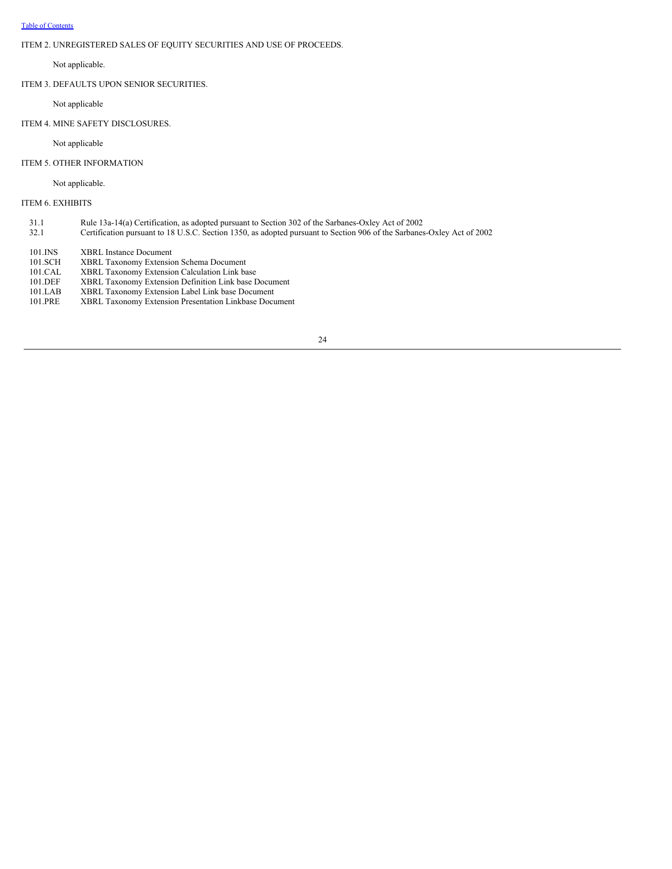# <span id="page-26-0"></span>ITEM 2. UNREGISTERED SALES OF EQUITY SECURITIES AND USE OF PROCEEDS.

# Not applicable.

ITEM 3. DEFAULTS UPON SENIOR SECURITIES.

Not applicable

## ITEM 4. MINE SAFETY DISCLOSURES.

Not applicable

# ITEM 5. OTHER INFORMATION

Not applicable.

## ITEM 6. EXHIBITS

- 31.1 Rule 13a-14(a) Certification, as adopted pursuant to Section 302 of the Sarbanes-Oxley Act of 2002
- 32.1 Certification pursuant to 18 U.S.C. Section 1350, as adopted pursuant to Section 906 of the Sarbanes-Oxley Act of 2002
- 101.INS XBRL Instance Document<br>101.SCH XBRL Taxonomy Extensio
- 101.SCH XBRL Taxonomy Extension Schema Document<br>101.CAL XBRL Taxonomy Extension Calculation Link ba
- 101.CAL XBRL Taxonomy Extension Calculation Link base<br>101.DEF XBRL Taxonomy Extension Definition Link base D
- 101.DEF XBRL Taxonomy Extension Definition Link base Document
- 101.LAB XBRL Taxonomy Extension Label Link base Document<br>101.PRE XBRL Taxonomy Extension Presentation Linkbase Docu
- XBRL Taxonomy Extension Presentation Linkbase Document
- 24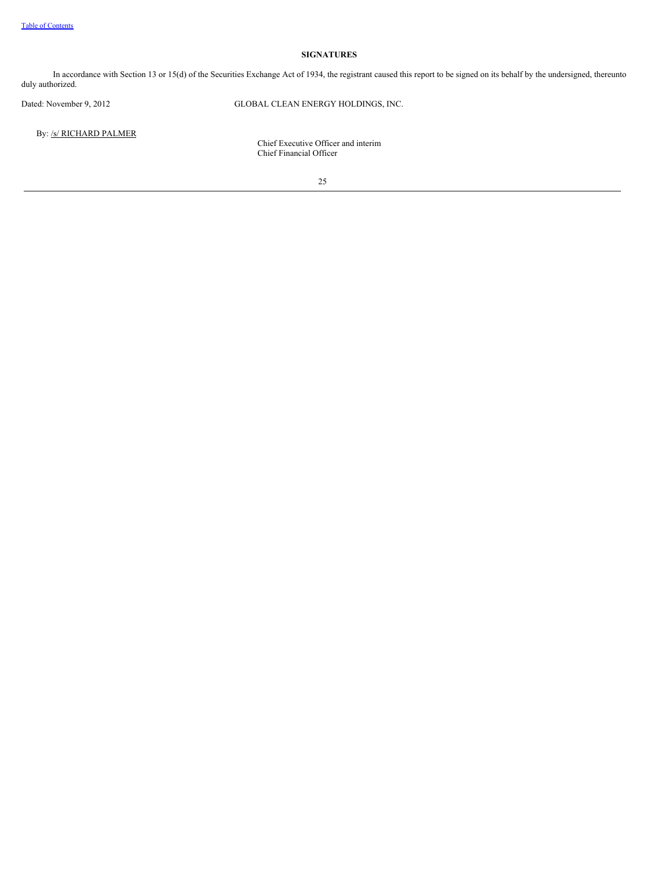# **SIGNATURES**

In accordance with Section 13 or 15(d) of the Securities Exchange Act of 1934, the registrant caused this report to be signed on its behalf by the undersigned, thereunto duly authorized.

Dated: November 9, 2012 GLOBAL CLEAN ENERGY HOLDINGS, INC.

By: /s/ RICHARD PALMER

Chief Executive Officer and interim Chief Financial Officer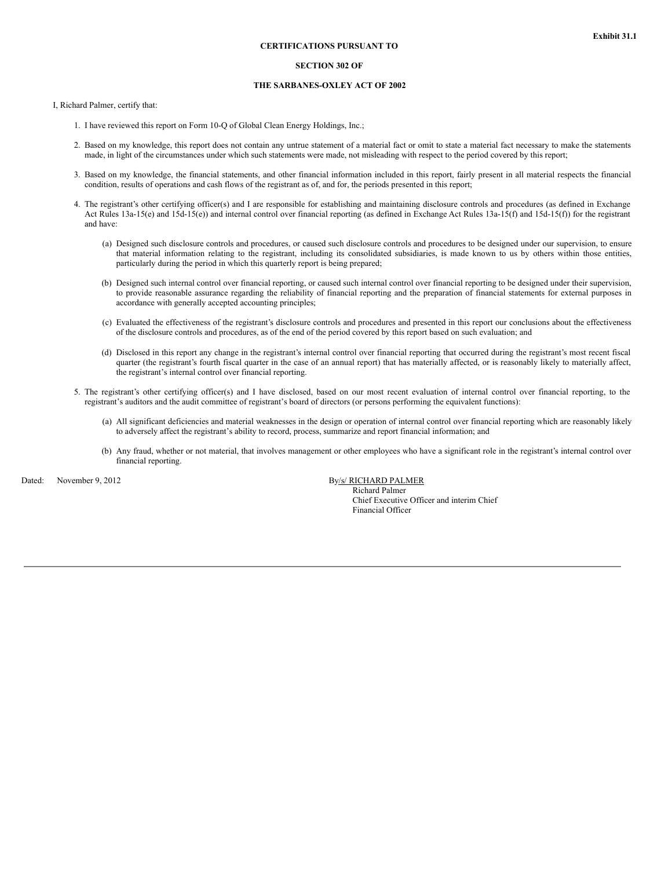#### **SECTION 302 OF**

#### **THE SARBANES-OXLEY ACT OF 2002**

I, Richard Palmer, certify that:

- 1. I have reviewed this report on Form 10-Q of Global Clean Energy Holdings, Inc.;
- 2. Based on my knowledge, this report does not contain any untrue statement of a material fact or omit to state a material fact necessary to make the statements made, in light of the circumstances under which such statements were made, not misleading with respect to the period covered by this report;
- 3. Based on my knowledge, the financial statements, and other financial information included in this report, fairly present in all material respects the financial condition, results of operations and cash flows of the registrant as of, and for, the periods presented in this report;
- 4. The registrant's other certifying officer(s) and I are responsible for establishing and maintaining disclosure controls and procedures (as defined in Exchange Act Rules 13a-15(e) and 15d-15(e)) and internal control over financial reporting (as defined in Exchange Act Rules 13a-15(f) and 15d-15(f)) for the registrant and have:
	- (a) Designed such disclosure controls and procedures, or caused such disclosure controls and procedures to be designed under our supervision, to ensure that material information relating to the registrant, including its consolidated subsidiaries, is made known to us by others within those entities, particularly during the period in which this quarterly report is being prepared;
	- (b) Designed such internal control over financial reporting, or caused such internal control over financial reporting to be designed under their supervision, to provide reasonable assurance regarding the reliability of financial reporting and the preparation of financial statements for external purposes in accordance with generally accepted accounting principles;
	- (c) Evaluated the effectiveness of the registrant's disclosure controls and procedures and presented in this report our conclusions about the effectiveness of the disclosure controls and procedures, as of the end of the period covered by this report based on such evaluation; and
	- (d) Disclosed in this report any change in the registrant's internal control over financial reporting that occurred during the registrant's most recent fiscal quarter (the registrant's fourth fiscal quarter in the case of an annual report) that has materially affected, or is reasonably likely to materially affect, the registrant's internal control over financial reporting.
- 5. The registrant's other certifying officer(s) and I have disclosed, based on our most recent evaluation of internal control over financial reporting, to the registrant's auditors and the audit committee of registrant's board of directors (or persons performing the equivalent functions):
	- (a) All significant deficiencies and material weaknesses in the design or operation of internal control over financial reporting which are reasonably likely to adversely affect the registrant's ability to record, process, summarize and report financial information; and
	- (b) Any fraud, whether or not material, that involves management or other employees who have a significant role in the registrant's internal control over financial reporting.

Dated: November 9, 2012 By/s/ RICHARD PALMER

Richard Palmer Chief Executive Officer and interim Chief Financial Officer